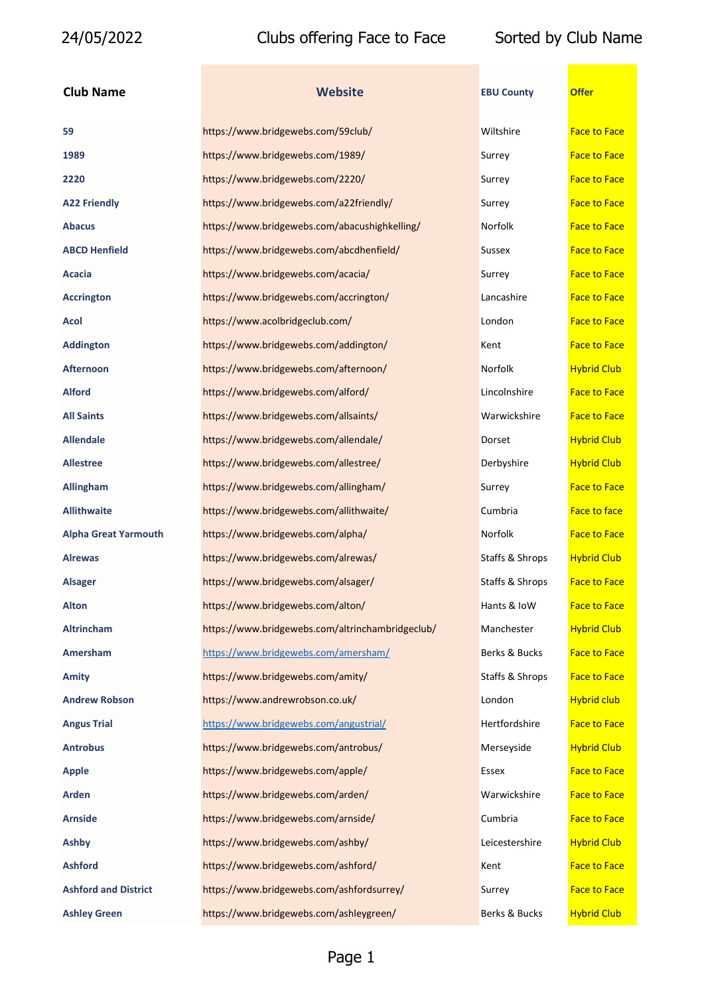| <b>Club Name</b>            | <b>Website</b>                                   | <b>EBU County</b> | <b>Offer</b>        |
|-----------------------------|--------------------------------------------------|-------------------|---------------------|
| 59                          | https://www.bridgewebs.com/59club/               | Wiltshire         | <b>Face to Face</b> |
| 1989                        | https://www.bridgewebs.com/1989/                 | Surrey            | <b>Face to Face</b> |
| 2220                        | https://www.bridgewebs.com/2220/                 | Surrey            | <b>Face to Face</b> |
| <b>A22 Friendly</b>         | https://www.bridgewebs.com/a22friendly/          | Surrey            | <b>Face to Face</b> |
| Abacus                      | https://www.bridgewebs.com/abacushighkelling/    | Norfolk           | <b>Face to Face</b> |
| ABCD Henfield               | https://www.bridgewebs.com/abcdhenfield/         | Sussex            | <b>Face to Face</b> |
| Acacia                      | https://www.bridgewebs.com/acacia/               | Surrey            | <b>Face to Face</b> |
| <b>Accrington</b>           | https://www.bridgewebs.com/accrington/           | Lancashire        | <b>Face to Face</b> |
| Acol                        | https://www.acolbridgeclub.com/                  | London            | <b>Face to Face</b> |
| <b>Addington</b>            | https://www.bridgewebs.com/addington/            | Kent              | <b>Face to Face</b> |
| Afternoon                   | https://www.bridgewebs.com/afternoon/            | Norfolk           | <b>Hybrid Club</b>  |
| <b>Alford</b>               | https://www.bridgewebs.com/alford/               | Lincolnshire      | <b>Face to Face</b> |
| <b>All Saints</b>           | https://www.bridgewebs.com/allsaints/            | Warwickshire      | <b>Face to Face</b> |
| <b>Allendale</b>            | https://www.bridgewebs.com/allendale/            | Dorset            | <b>Hybrid Club</b>  |
| Allestree                   | https://www.bridgewebs.com/allestree/            | Derbyshire        | <b>Hybrid Club</b>  |
| <b>Allingham</b>            | https://www.bridgewebs.com/allingham/            | Surrey            | <b>Face to Face</b> |
| <b>Allithwaite</b>          | https://www.bridgewebs.com/allithwaite/          | Cumbria           | <b>Face to face</b> |
| <b>Alpha Great Yarmouth</b> | https://www.bridgewebs.com/alpha/                | Norfolk           | <b>Face to Face</b> |
| Alrewas                     | https://www.bridgewebs.com/alrewas/              | Staffs & Shrops   | <b>Hybrid Club</b>  |
| Alsager                     | https://www.bridgewebs.com/alsager/              | Staffs & Shrops   | <b>Face to Face</b> |
| Alton                       | https://www.bridgewebs.com/alton/                | Hants & IoW       | <b>Face to Face</b> |
| Altrincham                  | https://www.bridgewebs.com/altrinchambridgeclub/ | Manchester        | <b>Hybrid Club</b>  |
| <b>Amersham</b>             | https://www.bridgewebs.com/amersham/             | Berks & Bucks     | <b>Face to Face</b> |
| Amity                       | https://www.bridgewebs.com/amity/                | Staffs & Shrops   | <b>Face to Face</b> |
| <b>Andrew Robson</b>        | https://www.andrewrobson.co.uk/                  | London            | <b>Hybrid club</b>  |
| <b>Angus Trial</b>          | https://www.bridgewebs.com/angustrial/           | Hertfordshire     | <b>Face to Face</b> |
| <b>Antrobus</b>             | https://www.bridgewebs.com/antrobus/             | Merseyside        | <b>Hybrid Club</b>  |
| Apple                       | https://www.bridgewebs.com/apple/                | Essex             | <b>Face to Face</b> |
| Arden                       | https://www.bridgewebs.com/arden/                | Warwickshire      | <b>Face to Face</b> |
| <b>Arnside</b>              | https://www.bridgewebs.com/arnside/              | Cumbria           | <b>Face to Face</b> |
| Ashby                       | https://www.bridgewebs.com/ashby/                | Leicestershire    | <b>Hybrid Club</b>  |
| <b>Ashford</b>              | https://www.bridgewebs.com/ashford/              | Kent              | <b>Face to Face</b> |
| <b>Ashford and District</b> | https://www.bridgewebs.com/ashfordsurrey/        | Surrey            | <b>Face to Face</b> |
| <b>Ashlev Green</b>         | https://www.bridgewebs.com/ashlevgreen/          | Berks & Bucks     | <b>Hybrid Club</b>  |

| <b>Nebsite</b> |  |  |  |
|----------------|--|--|--|
|                |  |  |  |

| 59                          | https://www.bridgewebs.com/59club/               | Wiltshire       | <b>Face to Face</b> |
|-----------------------------|--------------------------------------------------|-----------------|---------------------|
| 1989                        | https://www.bridgewebs.com/1989/                 | Surrey          | <b>Face to Face</b> |
| 2220                        | https://www.bridgewebs.com/2220/                 | Surrey          | <b>Face to Face</b> |
| <b>A22 Friendly</b>         | https://www.bridgewebs.com/a22friendly/          | Surrey          | <b>Face to Face</b> |
| <b>Abacus</b>               | https://www.bridgewebs.com/abacushighkelling/    | Norfolk         | <b>Face to Face</b> |
| <b>ABCD Henfield</b>        | https://www.bridgewebs.com/abcdhenfield/         | Sussex          | <b>Face to Face</b> |
| Acacia                      | https://www.bridgewebs.com/acacia/               | Surrey          | <b>Face to Face</b> |
| <b>Accrington</b>           | https://www.bridgewebs.com/accrington/           | Lancashire      | <b>Face to Face</b> |
| Acol                        | https://www.acolbridgeclub.com/                  | London          | <b>Face to Face</b> |
| <b>Addington</b>            | https://www.bridgewebs.com/addington/            | Kent            | <b>Face to Face</b> |
| <b>Afternoon</b>            | https://www.bridgewebs.com/afternoon/            | Norfolk         | <b>Hybrid Club</b>  |
| <b>Alford</b>               | https://www.bridgewebs.com/alford/               | Lincolnshire    | <b>Face to Face</b> |
| <b>All Saints</b>           | https://www.bridgewebs.com/allsaints/            | Warwickshire    | <b>Face to Face</b> |
| <b>Allendale</b>            | https://www.bridgewebs.com/allendale/            | Dorset          | <b>Hybrid Club</b>  |
| <b>Allestree</b>            | https://www.bridgewebs.com/allestree/            | Derbyshire      | <b>Hybrid Club</b>  |
| <b>Allingham</b>            | https://www.bridgewebs.com/allingham/            | Surrey          | <b>Face to Face</b> |
| <b>Allithwaite</b>          | https://www.bridgewebs.com/allithwaite/          | Cumbria         | <b>Face to face</b> |
| <b>Alpha Great Yarmouth</b> | https://www.bridgewebs.com/alpha/                | Norfolk         | <b>Face to Face</b> |
| <b>Alrewas</b>              | https://www.bridgewebs.com/alrewas/              | Staffs & Shrops | <b>Hybrid Club</b>  |
| <b>Alsager</b>              | https://www.bridgewebs.com/alsager/              | Staffs & Shrops | <b>Face to Face</b> |
| <b>Alton</b>                | https://www.bridgewebs.com/alton/                | Hants & IoW     | <b>Face to Face</b> |
| <b>Altrincham</b>           | https://www.bridgewebs.com/altrinchambridgeclub/ | Manchester      | <b>Hybrid Club</b>  |
| Amersham                    | https://www.bridgewebs.com/amersham/             | Berks & Bucks   | <b>Face to Face</b> |
| Amity                       | https://www.bridgewebs.com/amity/                | Staffs & Shrops | <b>Face to Face</b> |
| <b>Andrew Robson</b>        | https://www.andrewrobson.co.uk/                  | London          | <b>Hybrid club</b>  |
| <b>Angus Trial</b>          | https://www.bridgewebs.com/angustrial/           | Hertfordshire   | <b>Face to Face</b> |
| <b>Antrobus</b>             | https://www.bridgewebs.com/antrobus/             | Merseyside      | <b>Hybrid Club</b>  |
| <b>Apple</b>                | https://www.bridgewebs.com/apple/                | Essex           | <b>Face to Face</b> |
| <b>Arden</b>                | https://www.bridgewebs.com/arden/                | Warwickshire    | <b>Face to Face</b> |
| <b>Arnside</b>              | https://www.bridgewebs.com/arnside/              | Cumbria         | <b>Face to Face</b> |
| <b>Ashby</b>                | https://www.bridgewebs.com/ashby/                | Leicestershire  | <b>Hybrid Club</b>  |
| <b>Ashford</b>              | https://www.bridgewebs.com/ashford/              | Kent            | <b>Face to Face</b> |
| <b>Ashford and District</b> | https://www.bridgewebs.com/ashfordsurrey/        | Surrey          | <b>Face to Face</b> |
| <b>Ashley Green</b>         | https://www.bridgewebs.com/ashleygreen/          | Berks & Bucks   | <b>Hybrid Club</b>  |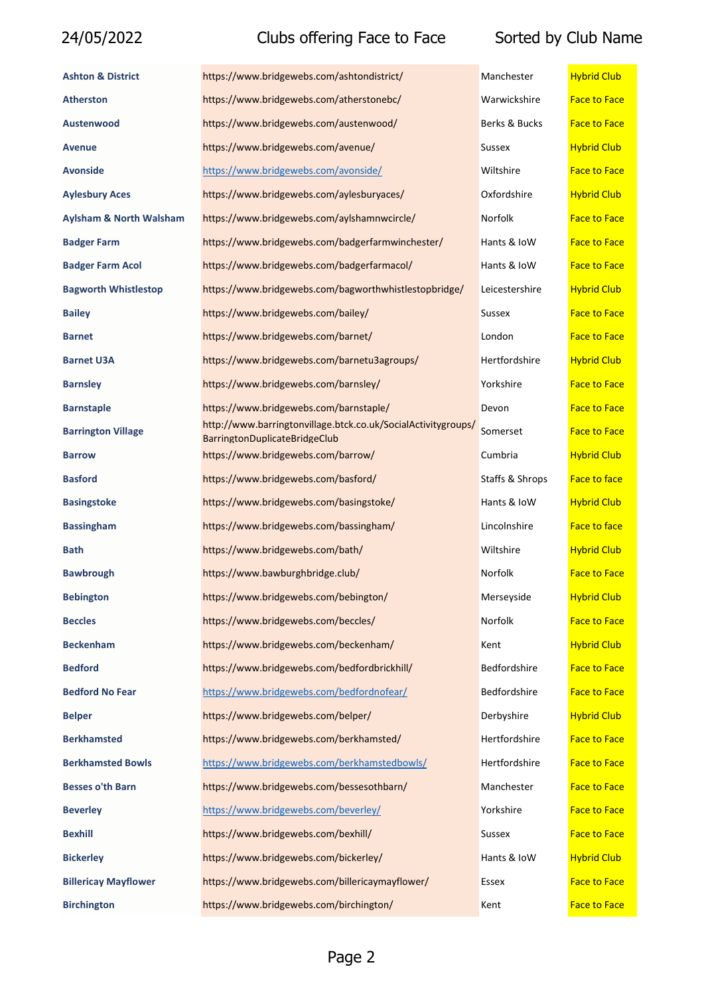| <b>Ashton &amp; District</b>       | https://www.bridgewebs.com/ashtondistrict/                                                     | Manchester      | <b>Hybrid Club</b>  |
|------------------------------------|------------------------------------------------------------------------------------------------|-----------------|---------------------|
| <b>Atherston</b>                   | https://www.bridgewebs.com/atherstonebc/                                                       | Warwickshire    | <b>Face to Face</b> |
| Austenwood                         | https://www.bridgewebs.com/austenwood/                                                         | Berks & Bucks   | <b>Face to Face</b> |
| <b>Avenue</b>                      | https://www.bridgewebs.com/avenue/                                                             | <b>Sussex</b>   | <b>Hybrid Club</b>  |
| <b>Avonside</b>                    | https://www.bridgewebs.com/avonside/                                                           | Wiltshire       | <b>Face to Face</b> |
| <b>Aylesbury Aces</b>              | https://www.bridgewebs.com/aylesburyaces/                                                      | Oxfordshire     | <b>Hybrid Club</b>  |
| <b>Aylsham &amp; North Walsham</b> | https://www.bridgewebs.com/aylshamnwcircle/                                                    | Norfolk         | <b>Face to Face</b> |
| <b>Badger Farm</b>                 | https://www.bridgewebs.com/badgerfarmwinchester/                                               | Hants & IoW     | <b>Face to Face</b> |
| <b>Badger Farm Acol</b>            | https://www.bridgewebs.com/badgerfarmacol/                                                     | Hants & IoW     | <b>Face to Face</b> |
| <b>Bagworth Whistlestop</b>        | https://www.bridgewebs.com/bagworthwhistlestopbridge/                                          | Leicestershire  | <b>Hybrid Club</b>  |
| <b>Bailey</b>                      | https://www.bridgewebs.com/bailey/                                                             | Sussex          | <b>Face to Face</b> |
| <b>Barnet</b>                      | https://www.bridgewebs.com/barnet/                                                             | London          | <b>Face to Face</b> |
| <b>Barnet U3A</b>                  | https://www.bridgewebs.com/barnetu3agroups/                                                    | Hertfordshire   | <b>Hybrid Club</b>  |
| <b>Barnsley</b>                    | https://www.bridgewebs.com/barnsley/                                                           | Yorkshire       | <b>Face to Face</b> |
| <b>Barnstaple</b>                  | https://www.bridgewebs.com/barnstaple/                                                         | Devon           | <b>Face to Face</b> |
| <b>Barrington Village</b>          | http://www.barringtonvillage.btck.co.uk/SocialActivitygroups/<br>BarringtonDuplicateBridgeClub | Somerset        | <b>Face to Face</b> |
| <b>Barrow</b>                      | https://www.bridgewebs.com/barrow/                                                             | Cumbria         | <b>Hybrid Club</b>  |
| <b>Basford</b>                     | https://www.bridgewebs.com/basford/                                                            | Staffs & Shrops | <b>Face to face</b> |
| <b>Basingstoke</b>                 | https://www.bridgewebs.com/basingstoke/                                                        | Hants & IoW     | <b>Hybrid Club</b>  |
| <b>Bassingham</b>                  | https://www.bridgewebs.com/bassingham/                                                         | Lincolnshire    | <b>Face to face</b> |
| <b>Bath</b>                        | https://www.bridgewebs.com/bath/                                                               | Wiltshire       | <b>Hybrid Club</b>  |
| <b>Bawbrough</b>                   | https://www.bawburghbridge.club/                                                               | Norfolk         | <b>Face to Face</b> |
| <b>Bebington</b>                   | https://www.bridgewebs.com/bebington/                                                          | Merseyside      | <b>Hybrid Club</b>  |
| <b>Beccles</b>                     | https://www.bridgewebs.com/beccles/                                                            | Norfolk         | <b>Face to Face</b> |
| <b>Beckenham</b>                   | https://www.bridgewebs.com/beckenham/                                                          | Kent            | <b>Hybrid Club</b>  |
| <b>Bedford</b>                     | https://www.bridgewebs.com/bedfordbrickhill/                                                   | Bedfordshire    | <b>Face to Face</b> |
| <b>Bedford No Fear</b>             | https://www.bridgewebs.com/bedfordnofear/                                                      | Bedfordshire    | <b>Face to Face</b> |
| <b>Belper</b>                      | https://www.bridgewebs.com/belper/                                                             | Derbyshire      | <b>Hybrid Club</b>  |
| <b>Berkhamsted</b>                 | https://www.bridgewebs.com/berkhamsted/                                                        | Hertfordshire   | <b>Face to Face</b> |
| <b>Berkhamsted Bowls</b>           | https://www.bridgewebs.com/berkhamstedbowls/                                                   | Hertfordshire   | <b>Face to Face</b> |
| <b>Besses o'th Barn</b>            | https://www.bridgewebs.com/bessesothbarn/                                                      | Manchester      | <b>Face to Face</b> |
| <b>Beverley</b>                    | https://www.bridgewebs.com/beverley/                                                           | Yorkshire       | <b>Face to Face</b> |
| <b>Bexhill</b>                     | https://www.bridgewebs.com/bexhill/                                                            | Sussex          | <b>Face to Face</b> |
| <b>Bickerley</b>                   | https://www.bridgewebs.com/bickerley/                                                          | Hants & IoW     | <b>Hybrid Club</b>  |
| <b>Billericay Mayflower</b>        | https://www.bridgewebs.com/billericaymayflower/                                                | Essex           | <b>Face to Face</b> |
| <b>Birchington</b>                 | https://www.bridgewebs.com/birchington/                                                        | Kent            | <b>Face to Face</b> |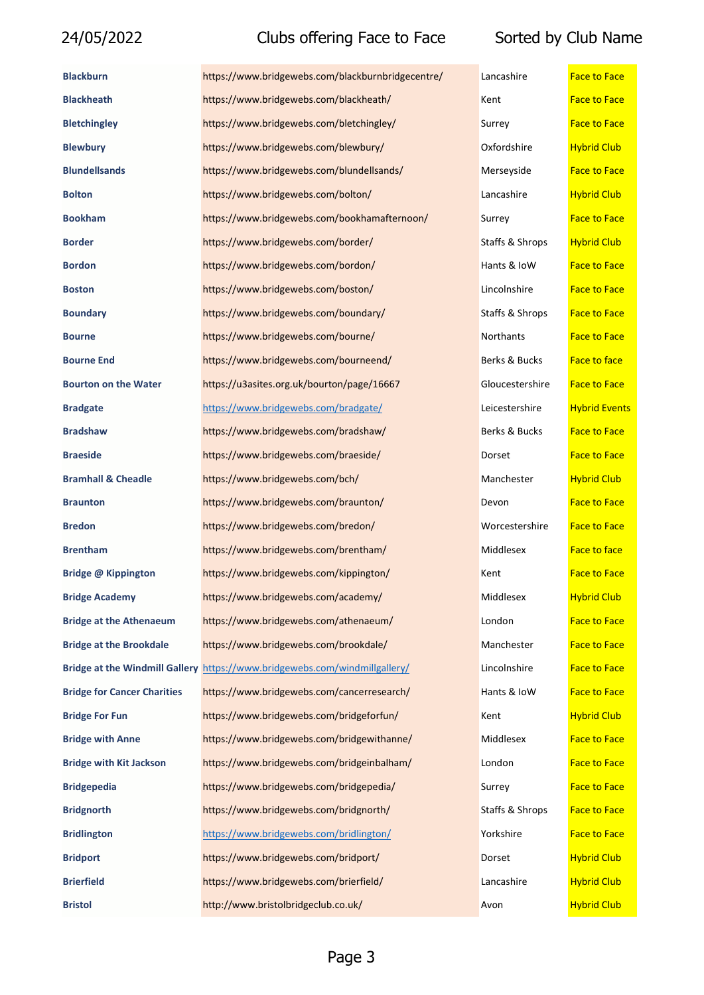| <b>Blackburn</b>                      | https://www.bridgewebs.com/blackburnbridgecentre/ | Lancashire      | <b>Face to Face</b>  |
|---------------------------------------|---------------------------------------------------|-----------------|----------------------|
| <b>Blackheath</b>                     | https://www.bridgewebs.com/blackheath/            | Kent            | <b>Face to Face</b>  |
| <b>Bletchingley</b>                   | https://www.bridgewebs.com/bletchingley/          | Surrey          | <b>Face to Face</b>  |
| <b>Blewbury</b>                       | https://www.bridgewebs.com/blewbury/              | Oxfordshire     | <b>Hybrid Club</b>   |
| <b>Blundellsands</b>                  | https://www.bridgewebs.com/blundellsands/         | Merseyside      | <b>Face to Face</b>  |
| <b>Bolton</b>                         | https://www.bridgewebs.com/bolton/                | Lancashire      | <b>Hybrid Club</b>   |
| <b>Bookham</b>                        | https://www.bridgewebs.com/bookhamafternoon/      | Surrey          | <b>Face to Face</b>  |
| <b>Border</b>                         | https://www.bridgewebs.com/border/                | Staffs & Shrops | <b>Hybrid Club</b>   |
| <b>Bordon</b>                         | https://www.bridgewebs.com/bordon/                | Hants & IoW     | <b>Face to Face</b>  |
| <b>Boston</b>                         | https://www.bridgewebs.com/boston/                | Lincolnshire    | <b>Face to Face</b>  |
| <b>Boundary</b>                       | https://www.bridgewebs.com/boundary/              | Staffs & Shrops | <b>Face to Face</b>  |
| <b>Bourne</b>                         | https://www.bridgewebs.com/bourne/                | Northants       | <b>Face to Face</b>  |
| <b>Bourne End</b>                     | https://www.bridgewebs.com/bourneend/             | Berks & Bucks   | <b>Face to face</b>  |
| <b>Bourton on the Water</b>           | https://u3asites.org.uk/bourton/page/16667        | Gloucestershire | <b>Face to Face</b>  |
| <b>Bradgate</b>                       | https://www.bridgewebs.com/bradgate/              | Leicestershire  | <b>Hybrid Events</b> |
| <b>Bradshaw</b>                       | https://www.bridgewebs.com/bradshaw/              | Berks & Bucks   | <b>Face to Face</b>  |
| <b>Braeside</b>                       | https://www.bridgewebs.com/braeside/              | Dorset          | <b>Face to Face</b>  |
| <b>Bramhall &amp; Cheadle</b>         | https://www.bridgewebs.com/bch/                   | Manchester      | <b>Hybrid Club</b>   |
| <b>Braunton</b>                       | https://www.bridgewebs.com/braunton/              | Devon           | <b>Face to Face</b>  |
| <b>Bredon</b>                         | https://www.bridgewebs.com/bredon/                | Worcestershire  | <b>Face to Face</b>  |
| <b>Brentham</b>                       | https://www.bridgewebs.com/brentham/              | Middlesex       | <b>Face to face</b>  |
| <b>Bridge @ Kippington</b>            | https://www.bridgewebs.com/kippington/            | Kent            | <b>Face to Face</b>  |
| <b>Bridge Academy</b>                 | https://www.bridgewebs.com/academy/               | Middlesex       | <b>Hybrid Club</b>   |
| <b>Bridge at the Athenaeum</b>        | https://www.bridgewebs.com/athenaeum/             | London          | <b>Face to Face</b>  |
| <b>Bridge at the Brookdale</b>        | https://www.bridgewebs.com/brookdale/             | Manchester      | <b>Face to Face</b>  |
| <b>Bridge at the Windmill Gallery</b> | https://www.bridgewebs.com/windmillgallery/       | Lincolnshire    | <b>Face to Face</b>  |
| <b>Bridge for Cancer Charities</b>    | https://www.bridgewebs.com/cancerresearch/        | Hants & IoW     | <b>Face to Face</b>  |
| <b>Bridge For Fun</b>                 | https://www.bridgewebs.com/bridgeforfun/          | Kent            | <b>Hybrid Club</b>   |
| <b>Bridge with Anne</b>               | https://www.bridgewebs.com/bridgewithanne/        | Middlesex       | <b>Face to Face</b>  |
| <b>Bridge with Kit Jackson</b>        | https://www.bridgewebs.com/bridgeinbalham/        | London          | <b>Face to Face</b>  |
| <b>Bridgepedia</b>                    | https://www.bridgewebs.com/bridgepedia/           | Surrey          | <b>Face to Face</b>  |
| <b>Bridgnorth</b>                     | https://www.bridgewebs.com/bridgnorth/            | Staffs & Shrops | <b>Face to Face</b>  |
| <b>Bridlington</b>                    | https://www.bridgewebs.com/bridlington/           | Yorkshire       | <b>Face to Face</b>  |
| <b>Bridport</b>                       | https://www.bridgewebs.com/bridport/              | Dorset          | <b>Hybrid Club</b>   |
| <b>Brierfield</b>                     | https://www.bridgewebs.com/brierfield/            | Lancashire      | <b>Hybrid Club</b>   |
| <b>Bristol</b>                        | http://www.bristolbridgeclub.co.uk/               | Avon            | <b>Hybrid Club</b>   |

| .ancashire               | <b>Face to Face</b>        |
|--------------------------|----------------------------|
| ent)                     | <b>Face to Face</b>        |
| iurrey                   | <b>Face to Face</b>        |
| <b>Oxfordshire</b>       | <b>Hybrid Club</b>         |
| <i>A</i> erseyside       | <b>Face to Face</b>        |
| .ancashire               | <b>Hybrid Club</b>         |
| iurrey                   | <b>Face to Face</b>        |
| itaffs & Shrops          | <b>Hybrid Club</b>         |
| lants & IoW              | <b>Face to Face</b>        |
| .incolnshire             | <b>Face to Face</b>        |
| taffs & Shrops           | <b>Face to Face</b>        |
| <b>Jorthants</b>         | <b>Face to Face</b>        |
| Berks & Bucks            | Face to face               |
| <b>Gloucestershire</b>   | <b>Face to Face</b>        |
| eicestershire            | <b>Hybrid Event</b>        |
| Berks & Bucks            | <b>Face to Face</b>        |
| )orset                   | <b>Face to Face</b>        |
| ∕lanchester              | <b>Hybrid Club</b>         |
| )evon                    | <b>Face to Face</b>        |
| Vorcestershire           | <b>Face to Face</b>        |
| <b>Aiddlesex</b>         | Face to face               |
| <b>Cent</b>              | <b>Face to Face</b>        |
| Aiddlesex                | <b>Hybrid Club</b>         |
| ondon                    | <b>Face to Face</b>        |
| <b><i>Aanchester</i></b> | <b>Face to Face</b>        |
| .incolnshire             | <b>Face to Face</b>        |
| lants & IoW              | <b>Face to Face</b>        |
| ent)                     | <b>Hybrid Club</b>         |
| <b>Aiddlesex</b>         | <b>Face to Face</b>        |
| ondon.                   | <b>Face to Face</b>        |
| iurrey                   | <b>Face to Face</b>        |
| itaffs & Shrops          | <b>Face to Face</b>        |
| 'orkshire                | <b>Face to Face</b>        |
| )orset                   | <b>Hybrid Club</b>         |
| .ancashire               | <b>Hybrid Club</b>         |
|                          | <b>Charles and Charles</b> |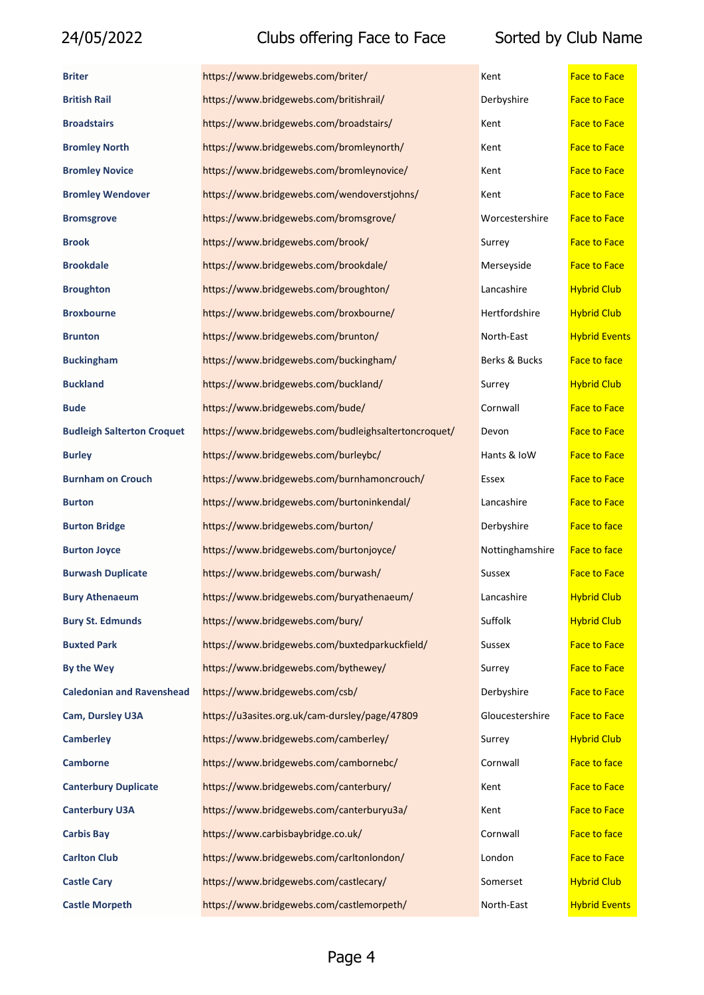| <b>Briter</b>                     | https://www.bridgewebs.com/briter/                   | Kent            | <b>Face to Face</b>  |
|-----------------------------------|------------------------------------------------------|-----------------|----------------------|
| <b>British Rail</b>               | https://www.bridgewebs.com/britishrail/              | Derbyshire      | <b>Face to Face</b>  |
| <b>Broadstairs</b>                | https://www.bridgewebs.com/broadstairs/              | Kent            | <b>Face to Face</b>  |
| <b>Bromley North</b>              | https://www.bridgewebs.com/bromleynorth/             | Kent            | <b>Face to Face</b>  |
| <b>Bromley Novice</b>             | https://www.bridgewebs.com/bromleynovice/            | Kent            | <b>Face to Face</b>  |
| <b>Bromley Wendover</b>           | https://www.bridgewebs.com/wendoverstjohns/          | Kent            | <b>Face to Face</b>  |
| <b>Bromsgrove</b>                 | https://www.bridgewebs.com/bromsgrove/               | Worcestershire  | <b>Face to Face</b>  |
| <b>Brook</b>                      | https://www.bridgewebs.com/brook/                    | Surrey          | <b>Face to Face</b>  |
| <b>Brookdale</b>                  | https://www.bridgewebs.com/brookdale/                | Merseyside      | <b>Face to Face</b>  |
| <b>Broughton</b>                  | https://www.bridgewebs.com/broughton/                | Lancashire      | <b>Hybrid Club</b>   |
| <b>Broxbourne</b>                 | https://www.bridgewebs.com/broxbourne/               | Hertfordshire   | <b>Hybrid Club</b>   |
| <b>Brunton</b>                    | https://www.bridgewebs.com/brunton/                  | North-East      | <b>Hybrid Events</b> |
| <b>Buckingham</b>                 | https://www.bridgewebs.com/buckingham/               | Berks & Bucks   | <b>Face to face</b>  |
| <b>Buckland</b>                   | https://www.bridgewebs.com/buckland/                 | Surrey          | <b>Hybrid Club</b>   |
| <b>Bude</b>                       | https://www.bridgewebs.com/bude/                     | Cornwall        | <b>Face to Face</b>  |
| <b>Budleigh Salterton Croquet</b> | https://www.bridgewebs.com/budleighsaltertoncroquet/ | Devon           | <b>Face to Face</b>  |
| <b>Burley</b>                     | https://www.bridgewebs.com/burleybc/                 | Hants & IoW     | <b>Face to Face</b>  |
| <b>Burnham on Crouch</b>          | https://www.bridgewebs.com/burnhamoncrouch/          | Essex           | <b>Face to Face</b>  |
| <b>Burton</b>                     | https://www.bridgewebs.com/burtoninkendal/           | Lancashire      | <b>Face to Face</b>  |
| <b>Burton Bridge</b>              | https://www.bridgewebs.com/burton/                   | Derbyshire      | <b>Face to face</b>  |
| <b>Burton Joyce</b>               | https://www.bridgewebs.com/burtonjoyce/              | Nottinghamshire | <b>Face to face</b>  |
| <b>Burwash Duplicate</b>          | https://www.bridgewebs.com/burwash/                  | Sussex          | <b>Face to Face</b>  |
| <b>Bury Athenaeum</b>             | https://www.bridgewebs.com/buryathenaeum/            | Lancashire      | <b>Hybrid Club</b>   |
| <b>Bury St. Edmunds</b>           | https://www.bridgewebs.com/bury/                     | Suffolk         | <b>Hybrid Club</b>   |
| <b>Buxted Park</b>                | https://www.bridgewebs.com/buxtedparkuckfield/       | Sussex          | <b>Face to Face</b>  |
| By the Wey                        | https://www.bridgewebs.com/bythewey/                 | Surrey          | <b>Face to Face</b>  |
| <b>Caledonian and Ravenshead</b>  | https://www.bridgewebs.com/csb/                      | Derbyshire      | <b>Face to Face</b>  |
| Cam, Dursley U3A                  | https://u3asites.org.uk/cam-dursley/page/47809       | Gloucestershire | <b>Face to Face</b>  |
| <b>Camberley</b>                  | https://www.bridgewebs.com/camberley/                | Surrey          | <b>Hybrid Club</b>   |
| <b>Camborne</b>                   | https://www.bridgewebs.com/cambornebc/               | Cornwall        | <b>Face to face</b>  |
| <b>Canterbury Duplicate</b>       | https://www.bridgewebs.com/canterbury/               | Kent            | <b>Face to Face</b>  |
| <b>Canterbury U3A</b>             | https://www.bridgewebs.com/canterburyu3a/            | Kent            | <b>Face to Face</b>  |
| <b>Carbis Bay</b>                 | https://www.carbisbaybridge.co.uk/                   | Cornwall        | <b>Face to face</b>  |
| <b>Carlton Club</b>               | https://www.bridgewebs.com/carltonlondon/            | London          | <b>Face to Face</b>  |
| <b>Castle Cary</b>                | https://www.bridgewebs.com/castlecary/               | Somerset        | <b>Hybrid Club</b>   |
| <b>Castle Morpeth</b>             | https://www.bridgewebs.com/castlemorpeth/            | North-East      | <b>Hybrid Events</b> |

| Kent            | <b>Face to Face</b>  |
|-----------------|----------------------|
| Derbyshire      | <b>Face to Face</b>  |
| Kent            | <b>Face to Face</b>  |
| Kent            | <b>Face to Face</b>  |
| Kent            | <b>Face to Face</b>  |
| Kent            | <b>Face to Face</b>  |
| Worcestershire  | <b>Face to Face</b>  |
| Surrey          | <b>Face to Face</b>  |
| Merseyside      | <b>Face to Face</b>  |
| Lancashire      | <b>Hybrid Club</b>   |
| Hertfordshire   | <b>Hybrid Club</b>   |
| North-East      | <b>Hybrid Events</b> |
| Berks & Bucks   | <b>Face to face</b>  |
| Surrey          | <b>Hybrid Club</b>   |
| Cornwall        | <b>Face to Face</b>  |
| Devon           | <b>Face to Face</b>  |
| Hants & IoW     | <b>Face to Face</b>  |
| Essex           | <b>Face to Face</b>  |
| Lancashire      | <b>Face to Face</b>  |
| Derbyshire      | <b>Face to face</b>  |
| Nottinghamshire | <b>Face to face</b>  |
| Sussex          | <b>Face to Face</b>  |
| Lancashire      | <b>Hybrid Club</b>   |
| Suffolk         | <b>Hybrid Club</b>   |
| Sussex          | <b>Face to Face</b>  |
| Surrey          | <b>Face to Face</b>  |
| Derbyshire      | <b>Face to Face</b>  |
| Gloucestershire | <b>Face to Face</b>  |
| Surrey          | <b>Hybrid Club</b>   |
| Cornwall        | <b>Face to face</b>  |
| Kent            | <b>Face to Face</b>  |
| Kent            | <b>Face to Face</b>  |
| Cornwall        | <b>Face to face</b>  |
| London          | <b>Face to Face</b>  |
| Somerset        | <b>Hybrid Club</b>   |
|                 | i is de atal m       |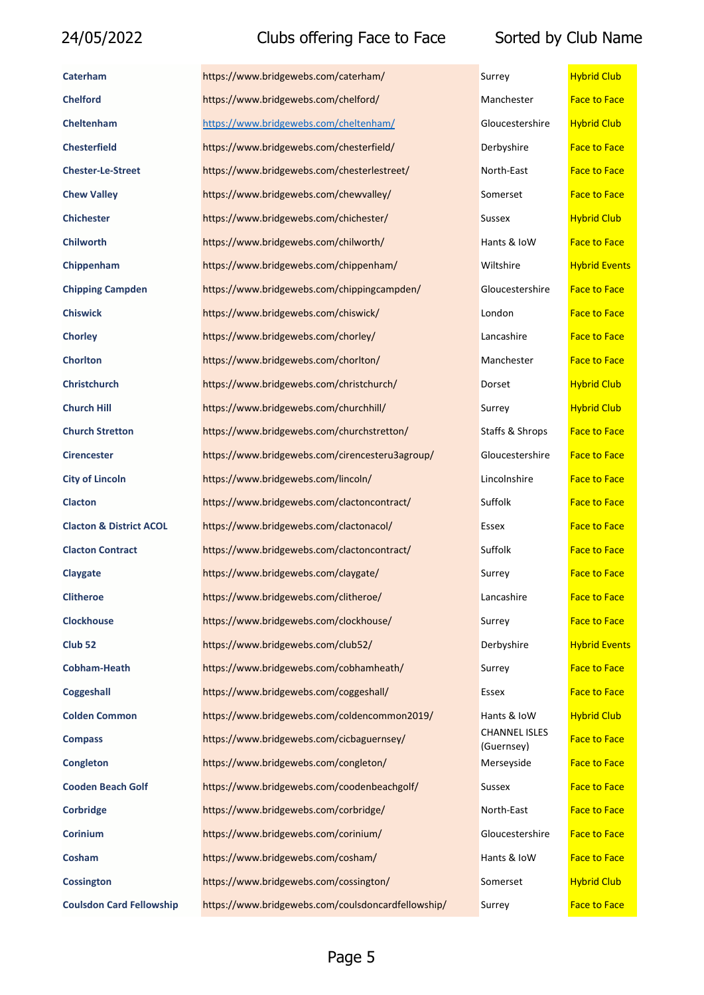| Caterham                           | https://www.bridgewebs.com/caterham/               | Surrey                             | <b>Hybrid Club</b>   |
|------------------------------------|----------------------------------------------------|------------------------------------|----------------------|
| <b>Chelford</b>                    | https://www.bridgewebs.com/chelford/               | Manchester                         | <b>Face to Face</b>  |
| Cheltenham                         | https://www.bridgewebs.com/cheltenham/             | Gloucestershire                    | <b>Hybrid Club</b>   |
| <b>Chesterfield</b>                | https://www.bridgewebs.com/chesterfield/           | Derbyshire                         | <b>Face to Face</b>  |
| <b>Chester-Le-Street</b>           | https://www.bridgewebs.com/chesterlestreet/        | North-East                         | <b>Face to Face</b>  |
| <b>Chew Valley</b>                 | https://www.bridgewebs.com/chewvalley/             | Somerset                           | <b>Face to Face</b>  |
| <b>Chichester</b>                  | https://www.bridgewebs.com/chichester/             | Sussex                             | <b>Hybrid Club</b>   |
| <b>Chilworth</b>                   | https://www.bridgewebs.com/chilworth/              | Hants & IoW                        | <b>Face to Face</b>  |
| Chippenham                         | https://www.bridgewebs.com/chippenham/             | Wiltshire                          | <b>Hybrid Events</b> |
| <b>Chipping Campden</b>            | https://www.bridgewebs.com/chippingcampden/        | Gloucestershire                    | <b>Face to Face</b>  |
| <b>Chiswick</b>                    | https://www.bridgewebs.com/chiswick/               | London                             | <b>Face to Face</b>  |
| <b>Chorley</b>                     | https://www.bridgewebs.com/chorley/                | Lancashire                         | <b>Face to Face</b>  |
| <b>Chorlton</b>                    | https://www.bridgewebs.com/chorlton/               | Manchester                         | <b>Face to Face</b>  |
| <b>Christchurch</b>                | https://www.bridgewebs.com/christchurch/           | Dorset                             | <b>Hybrid Club</b>   |
| <b>Church Hill</b>                 | https://www.bridgewebs.com/churchhill/             | Surrey                             | <b>Hybrid Club</b>   |
| <b>Church Stretton</b>             | https://www.bridgewebs.com/churchstretton/         | Staffs & Shrops                    | <b>Face to Face</b>  |
| <b>Cirencester</b>                 | https://www.bridgewebs.com/cirencesteru3agroup/    | Gloucestershire                    | <b>Face to Face</b>  |
| <b>City of Lincoln</b>             | https://www.bridgewebs.com/lincoln/                | Lincolnshire                       | <b>Face to Face</b>  |
| <b>Clacton</b>                     | https://www.bridgewebs.com/clactoncontract/        | Suffolk                            | <b>Face to Face</b>  |
| <b>Clacton &amp; District ACOL</b> | https://www.bridgewebs.com/clactonacol/            | Essex                              | <b>Face to Face</b>  |
| <b>Clacton Contract</b>            | https://www.bridgewebs.com/clactoncontract/        | Suffolk                            | <b>Face to Face</b>  |
| <b>Claygate</b>                    | https://www.bridgewebs.com/claygate/               | Surrey                             | <b>Face to Face</b>  |
| <b>Clitheroe</b>                   | https://www.bridgewebs.com/clitheroe/              | Lancashire                         | <b>Face to Face</b>  |
| <b>Clockhouse</b>                  | https://www.bridgewebs.com/clockhouse/             | Surrey                             | <b>Face to Face</b>  |
| Club <sub>52</sub>                 | https://www.bridgewebs.com/club52/                 | Derbyshire                         | <b>Hybrid Events</b> |
| <b>Cobham-Heath</b>                | https://www.bridgewebs.com/cobhamheath/            | Surrey                             | <b>Face to Face</b>  |
| <b>Coggeshall</b>                  | https://www.bridgewebs.com/coggeshall/             | Essex                              | <b>Face to Face</b>  |
| <b>Colden Common</b>               | https://www.bridgewebs.com/coldencommon2019/       | Hants & IoW                        | <b>Hybrid Club</b>   |
| <b>Compass</b>                     | https://www.bridgewebs.com/cicbaguernsey/          | <b>CHANNEL ISLES</b><br>(Guernsey) | <b>Face to Face</b>  |
| Congleton                          | https://www.bridgewebs.com/congleton/              | Merseyside                         | <b>Face to Face</b>  |
| <b>Cooden Beach Golf</b>           | https://www.bridgewebs.com/coodenbeachgolf/        | Sussex                             | <b>Face to Face</b>  |
| Corbridge                          | https://www.bridgewebs.com/corbridge/              | North-East                         | <b>Face to Face</b>  |
| <b>Corinium</b>                    | https://www.bridgewebs.com/corinium/               | Gloucestershire                    | <b>Face to Face</b>  |
| Cosham                             | https://www.bridgewebs.com/cosham/                 | Hants & IoW                        | <b>Face to Face</b>  |
| <b>Cossington</b>                  | https://www.bridgewebs.com/cossington/             | Somerset                           | <b>Hybrid Club</b>   |
| <b>Coulsdon Card Fellowship</b>    | https://www.bridgewebs.com/coulsdoncardfellowship/ | Surrey                             | <b>Face to Face</b>  |

| Surrey                             | <b>Hybrid Club</b>   |
|------------------------------------|----------------------|
| Manchester                         | <b>Face to Face</b>  |
| Gloucestershire                    | <b>Hybrid Club</b>   |
| Derbyshire                         | <b>Face to Face</b>  |
| North-East                         | <b>Face to Face</b>  |
| Somerset                           | <b>Face to Face</b>  |
| Sussex                             | <b>Hybrid Club</b>   |
| Hants & IoW                        | <b>Face to Face</b>  |
| Wiltshire                          | <b>Hybrid Event:</b> |
| Gloucestershire                    | <b>Face to Face</b>  |
| London                             | <b>Face to Face</b>  |
| Lancashire                         | <b>Face to Face</b>  |
| Manchester                         | <b>Face to Face</b>  |
| Dorset                             | <b>Hybrid Club</b>   |
| Surrey                             | <b>Hybrid Club</b>   |
| Staffs & Shrops                    | <b>Face to Face</b>  |
| Gloucestershire                    | <b>Face to Face</b>  |
| Lincolnshire                       | <b>Face to Face</b>  |
| Suffolk                            | <b>Face to Face</b>  |
| Essex                              | <b>Face to Face</b>  |
| Suffolk                            | <b>Face to Face</b>  |
| Surrey                             | <b>Face to Face</b>  |
| Lancashire                         | <b>Face to Face</b>  |
| Surrey                             | <b>Face to Face</b>  |
| Derbyshire                         | <b>Hybrid Event:</b> |
| Surrey                             | <b>Face to Face</b>  |
| Essex                              | <b>Face to Face</b>  |
| Hants & IoW                        | <b>Hybrid Club</b>   |
| <b>CHANNEL ISLES</b><br>(Guernsey) | <b>Face to Face</b>  |
| Merseyside                         | <b>Face to Face</b>  |
| Sussex                             | <b>Face to Face</b>  |
| North-East                         | <b>Face to Face</b>  |
| Gloucestershire                    | <b>Face to Face</b>  |
| Hants & IoW                        | <b>Face to Face</b>  |
| Somerset                           | <b>Hybrid Club</b>   |
| Currow                             | <b>Eaco to Eaco</b>  |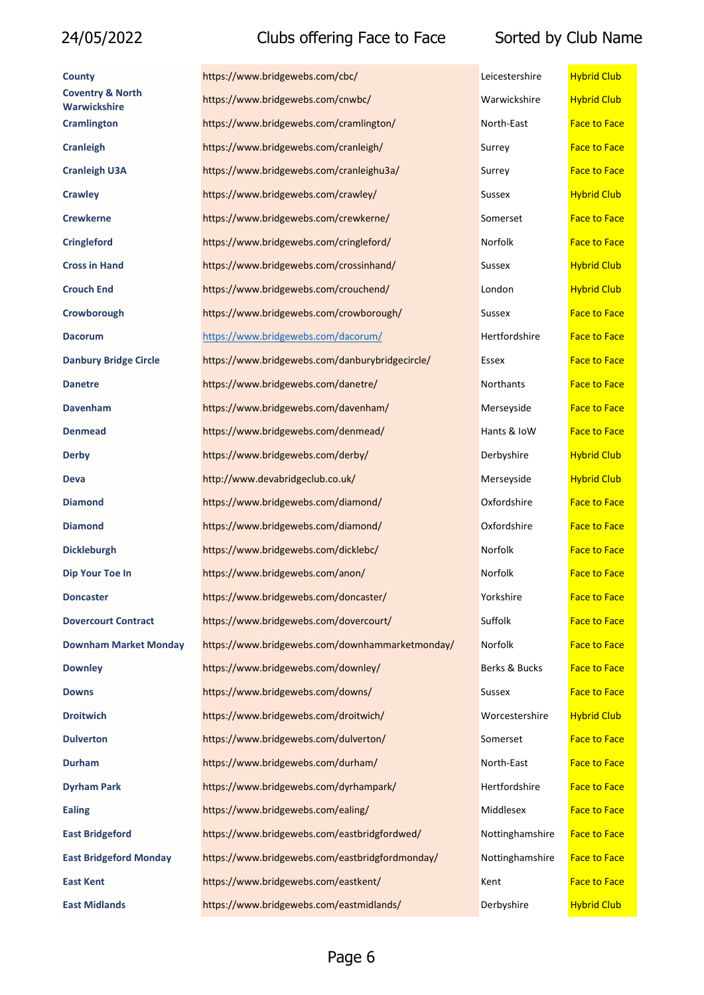| <b>County</b>                               | https://www.bridgewebs.com/cbc/                 | Leicestershire  | <b>Hybrid Club</b>  |
|---------------------------------------------|-------------------------------------------------|-----------------|---------------------|
| <b>Coventry &amp; North</b><br>Warwickshire | https://www.bridgewebs.com/cnwbc/               | Warwickshire    | <b>Hybrid Club</b>  |
| <b>Cramlington</b>                          | https://www.bridgewebs.com/cramlington/         | North-East      | <b>Face to Face</b> |
| <b>Cranleigh</b>                            | https://www.bridgewebs.com/cranleigh/           | Surrey          | <b>Face to Face</b> |
| <b>Cranleigh U3A</b>                        | https://www.bridgewebs.com/cranleighu3a/        | Surrey          | <b>Face to Face</b> |
| <b>Crawley</b>                              | https://www.bridgewebs.com/crawley/             | Sussex          | <b>Hybrid Club</b>  |
| <b>Crewkerne</b>                            | https://www.bridgewebs.com/crewkerne/           | Somerset        | <b>Face to Face</b> |
| <b>Cringleford</b>                          | https://www.bridgewebs.com/cringleford/         | Norfolk         | <b>Face to Face</b> |
| <b>Cross in Hand</b>                        | https://www.bridgewebs.com/crossinhand/         | Sussex          | <b>Hybrid Club</b>  |
| <b>Crouch End</b>                           | https://www.bridgewebs.com/crouchend/           | London          | <b>Hybrid Club</b>  |
| Crowborough                                 | https://www.bridgewebs.com/crowborough/         | Sussex          | <b>Face to Face</b> |
| <b>Dacorum</b>                              | https://www.bridgewebs.com/dacorum/             | Hertfordshire   | <b>Face to Face</b> |
| <b>Danbury Bridge Circle</b>                | https://www.bridgewebs.com/danburybridgecircle/ | Essex           | <b>Face to Face</b> |
| <b>Danetre</b>                              | https://www.bridgewebs.com/danetre/             | Northants       | <b>Face to Face</b> |
| <b>Davenham</b>                             | https://www.bridgewebs.com/davenham/            | Merseyside      | <b>Face to Face</b> |
| <b>Denmead</b>                              | https://www.bridgewebs.com/denmead/             | Hants & IoW     | <b>Face to Face</b> |
| <b>Derby</b>                                | https://www.bridgewebs.com/derby/               | Derbyshire      | <b>Hybrid Club</b>  |
| <b>Deva</b>                                 | http://www.devabridgeclub.co.uk/                | Merseyside      | <b>Hybrid Club</b>  |
| <b>Diamond</b>                              | https://www.bridgewebs.com/diamond/             | Oxfordshire     | <b>Face to Face</b> |
| <b>Diamond</b>                              | https://www.bridgewebs.com/diamond/             | Oxfordshire     | <b>Face to Face</b> |
| <b>Dickleburgh</b>                          | https://www.bridgewebs.com/dicklebc/            | Norfolk         | <b>Face to Face</b> |
| <b>Dip Your Toe In</b>                      | https://www.bridgewebs.com/anon/                | Norfolk         | <b>Face to Face</b> |
| <b>Doncaster</b>                            | https://www.bridgewebs.com/doncaster/           | Yorkshire       | <b>Face to Face</b> |
| <b>Dovercourt Contract</b>                  | https://www.bridgewebs.com/dovercourt/          | Suffolk         | <b>Face to Face</b> |
| <b>Downham Market Monday</b>                | https://www.bridgewebs.com/downhammarketmonday/ | Norfolk         | <b>Face to Face</b> |
| <b>Downley</b>                              | https://www.bridgewebs.com/downley/             | Berks & Bucks   | <b>Face to Face</b> |
| <b>Downs</b>                                | https://www.bridgewebs.com/downs/               | Sussex          | <b>Face to Face</b> |
| <b>Droitwich</b>                            | https://www.bridgewebs.com/droitwich/           | Worcestershire  | <b>Hybrid Club</b>  |
| <b>Dulverton</b>                            | https://www.bridgewebs.com/dulverton/           | Somerset        | <b>Face to Face</b> |
| <b>Durham</b>                               | https://www.bridgewebs.com/durham/              | North-East      | <b>Face to Face</b> |
| <b>Dyrham Park</b>                          | https://www.bridgewebs.com/dyrhampark/          | Hertfordshire   | <b>Face to Face</b> |
| <b>Ealing</b>                               | https://www.bridgewebs.com/ealing/              | Middlesex       | <b>Face to Face</b> |
| <b>East Bridgeford</b>                      | https://www.bridgewebs.com/eastbridgfordwed/    | Nottinghamshire | <b>Face to Face</b> |
| <b>East Bridgeford Monday</b>               | https://www.bridgewebs.com/eastbridgfordmonday/ | Nottinghamshire | <b>Face to Face</b> |
| <b>East Kent</b>                            | https://www.bridgewebs.com/eastkent/            | Kent            | <b>Face to Face</b> |
| <b>East Midlands</b>                        | https://www.bridgewebs.com/eastmidlands/        | Derbyshire      | <b>Hybrid Club</b>  |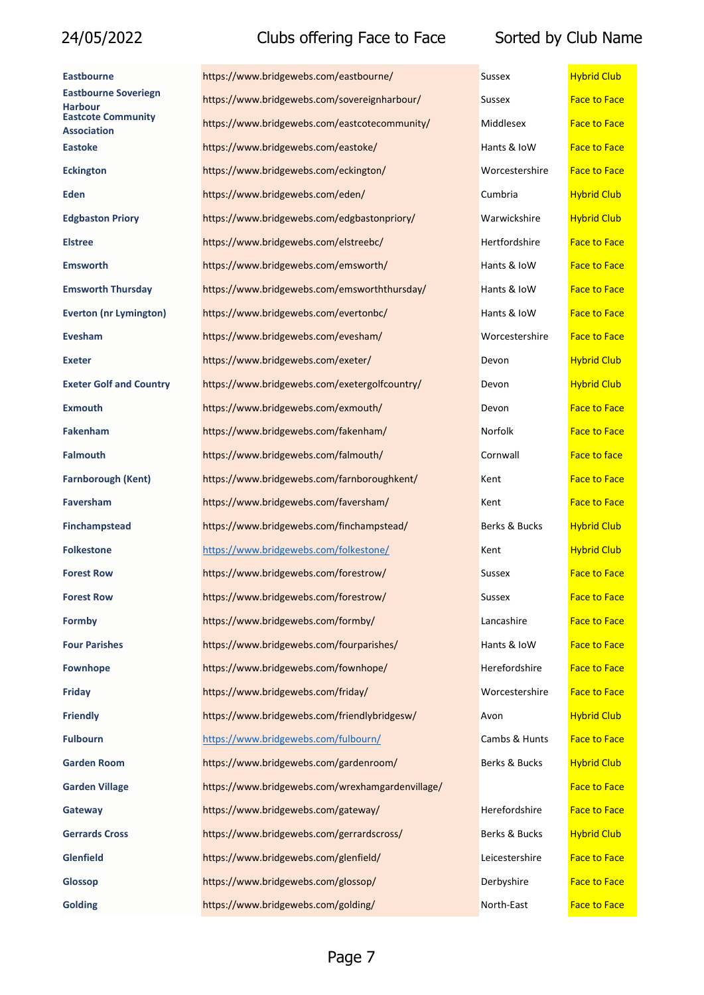| Eastbourne                                      | https://www.bridgewebs.com/eastbourne/           | Sussex         | <b>Hybrid Club</b>  |
|-------------------------------------------------|--------------------------------------------------|----------------|---------------------|
| <b>Eastbourne Soveriegn</b><br>Harbour          | https://www.bridgewebs.com/sovereignharbour/     | Sussex         | <b>Face to Face</b> |
| <b>Eastcote Community</b><br><b>Association</b> | https://www.bridgewebs.com/eastcotecommunity/    | Middlesex      | <b>Face to Face</b> |
| Eastoke                                         | https://www.bridgewebs.com/eastoke/              | Hants & IoW    | <b>Face to Face</b> |
| <b>Eckington</b>                                | https://www.bridgewebs.com/eckington/            | Worcestershire | <b>Face to Face</b> |
| <b>Eden</b>                                     | https://www.bridgewebs.com/eden/                 | Cumbria        | <b>Hybrid Club</b>  |
| <b>Edgbaston Priory</b>                         | https://www.bridgewebs.com/edgbastonpriory/      | Warwickshire   | <b>Hybrid Club</b>  |
| <b>Elstree</b>                                  | https://www.bridgewebs.com/elstreebc/            | Hertfordshire  | <b>Face to Face</b> |
| Emsworth                                        | https://www.bridgewebs.com/emsworth/             | Hants & IoW    | <b>Face to Face</b> |
| <b>Emsworth Thursday</b>                        | https://www.bridgewebs.com/emsworththursday/     | Hants & IoW    | <b>Face to Face</b> |
| <b>Everton (nr Lymington)</b>                   | https://www.bridgewebs.com/evertonbc/            | Hants & IoW    | <b>Face to Face</b> |
| <b>Evesham</b>                                  | https://www.bridgewebs.com/evesham/              | Worcestershire | <b>Face to Face</b> |
| <b>Exeter</b>                                   | https://www.bridgewebs.com/exeter/               | Devon          | <b>Hybrid Club</b>  |
| <b>Exeter Golf and Country</b>                  | https://www.bridgewebs.com/exetergolfcountry/    | Devon          | <b>Hybrid Club</b>  |
| <b>Exmouth</b>                                  | https://www.bridgewebs.com/exmouth/              | Devon          | <b>Face to Face</b> |
| Fakenham                                        | https://www.bridgewebs.com/fakenham/             | Norfolk        | <b>Face to Face</b> |
| Falmouth                                        | https://www.bridgewebs.com/falmouth/             | Cornwall       | <b>Face to face</b> |
| <b>Farnborough (Kent)</b>                       | https://www.bridgewebs.com/farnboroughkent/      | Kent           | <b>Face to Face</b> |
| Faversham                                       | https://www.bridgewebs.com/faversham/            | Kent           | <b>Face to Face</b> |
| <b>Finchampstead</b>                            | https://www.bridgewebs.com/finchampstead/        | Berks & Bucks  | <b>Hybrid Club</b>  |
| <b>Folkestone</b>                               | https://www.bridgewebs.com/folkestone/           | Kent           | <b>Hybrid Club</b>  |
| <b>Forest Row</b>                               | https://www.bridgewebs.com/forestrow/            | Sussex         | <b>Face to Face</b> |
| <b>Forest Row</b>                               | https://www.bridgewebs.com/forestrow/            | Sussex         | <b>Face to Face</b> |
| Formby                                          | https://www.bridgewebs.com/formby/               | Lancashire     | <b>Face to Face</b> |
| <b>Four Parishes</b>                            | https://www.bridgewebs.com/fourparishes/         | Hants & IoW    | <b>Face to Face</b> |
| <b>Fownhope</b>                                 | https://www.bridgewebs.com/fownhope/             | Herefordshire  | <b>Face to Face</b> |
| <b>Friday</b>                                   | https://www.bridgewebs.com/friday/               | Worcestershire | <b>Face to Face</b> |
| <b>Friendly</b>                                 | https://www.bridgewebs.com/friendlybridgesw/     | Avon           | <b>Hybrid Club</b>  |
| <b>Fulbourn</b>                                 | https://www.bridgewebs.com/fulbourn/             | Cambs & Hunts  | <b>Face to Face</b> |
| <b>Garden Room</b>                              | https://www.bridgewebs.com/gardenroom/           | Berks & Bucks  | <b>Hybrid Club</b>  |
| <b>Garden Village</b>                           | https://www.bridgewebs.com/wrexhamgardenvillage/ |                | <b>Face to Face</b> |
| Gateway                                         | https://www.bridgewebs.com/gateway/              | Herefordshire  | <b>Face to Face</b> |
| <b>Gerrards Cross</b>                           | https://www.bridgewebs.com/gerrardscross/        | Berks & Bucks  | <b>Hybrid Club</b>  |
| <b>Glenfield</b>                                | https://www.bridgewebs.com/glenfield/            | Leicestershire | <b>Face to Face</b> |
| Glossop                                         | https://www.bridgewebs.com/glossop/              | Derbyshire     | <b>Face to Face</b> |
| <b>Golding</b>                                  | https://www.bridgewebs.com/golding/              | North-East     | <b>Face to Face</b> |

| ussex            | <b>Hybrid Club</b>  |
|------------------|---------------------|
| ussex            | <b>Face to Face</b> |
| <b>Aiddlesex</b> | <b>Face to Face</b> |
| lants & IoW      | <b>Face to Face</b> |
| Vorcestershire   | <b>Face to Face</b> |
| <b>Cumbria</b>   | <b>Hybrid Club</b>  |
| Varwickshire     | <b>Hybrid Club</b>  |
| Iertfordshire    | <b>Face to Face</b> |
| lants & IoW      | <b>Face to Face</b> |
| lants & IoW      | <b>Face to Face</b> |
| lants & IoW      | <b>Face to Face</b> |
| Vorcestershire   | <b>Face to Face</b> |
| evon(            | <b>Hybrid Club</b>  |
| evon(            | <b>Hybrid Club</b>  |
| evon(            | <b>Face to Face</b> |
| Iorfolk          | <b>Face to Face</b> |
| <b>Cornwall</b>  | <b>Face to face</b> |
| ent:             | <b>Face to Face</b> |
| ent              | <b>Face to Face</b> |
| erks & Bucks     | <b>Hybrid Club</b>  |
| ent:             | <u>Hybrid Club</u>  |
| ussex            | <b>Face to Face</b> |
| ussex            | <b>Face to Face</b> |
| ancashire        | <b>Face to Face</b> |
| lants & IoW      | <b>Face to Face</b> |
| Ierefordshire    | <b>Face to Face</b> |
| Vorcestershire   | <b>Face to Face</b> |
| von              | <b>Hybrid Club</b>  |
| `ambs & Hunts    | <b>Face to Face</b> |
| erks & Bucks     | <b>Hybrid Club</b>  |
|                  | <b>Face to Face</b> |
| lerefordshire    | <b>Face to Face</b> |
| erks & Bucks     | <b>Hybrid Club</b>  |
| eicestershire    | <b>Face to Face</b> |
| )erbyshire       | <b>Face to Face</b> |
|                  |                     |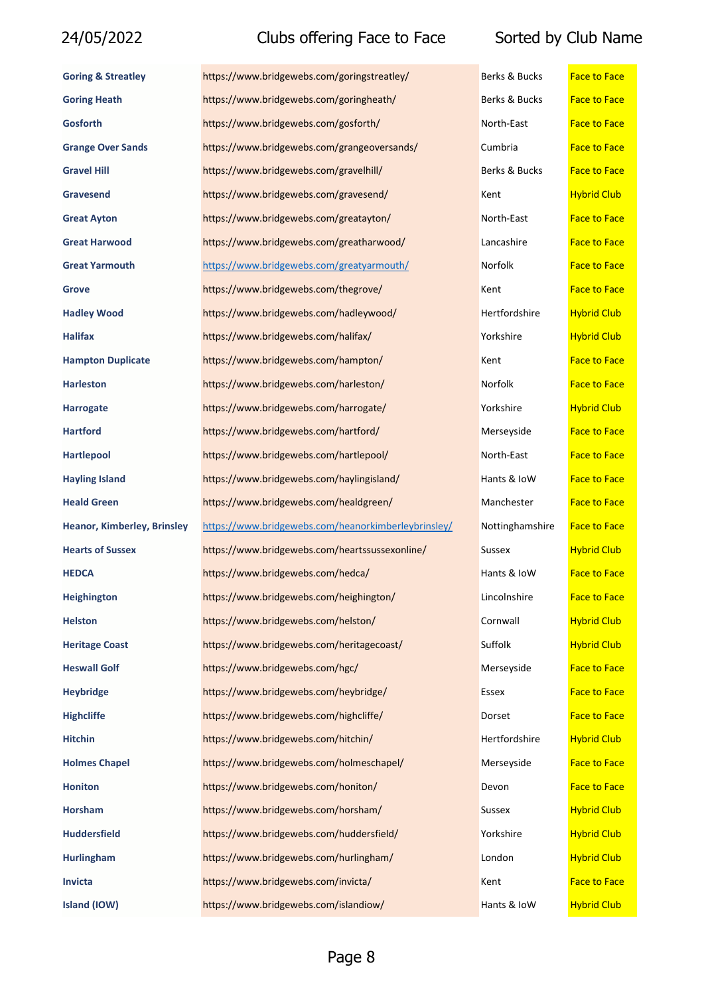| <b>Goring &amp; Streatley</b>      | https://www.bridgewebs.com/goringstreatley/         | Berks & Bucks   | <b>Face to Face</b> |
|------------------------------------|-----------------------------------------------------|-----------------|---------------------|
| <b>Goring Heath</b>                | https://www.bridgewebs.com/goringheath/             | Berks & Bucks   | <b>Face to Face</b> |
| <b>Gosforth</b>                    | https://www.bridgewebs.com/gosforth/                | North-East      | <b>Face to Face</b> |
| <b>Grange Over Sands</b>           | https://www.bridgewebs.com/grangeoversands/         | Cumbria         | <b>Face to Face</b> |
| <b>Gravel Hill</b>                 | https://www.bridgewebs.com/gravelhill/              | Berks & Bucks   | <b>Face to Face</b> |
| <b>Gravesend</b>                   | https://www.bridgewebs.com/gravesend/               | Kent            | <b>Hybrid Club</b>  |
| <b>Great Ayton</b>                 | https://www.bridgewebs.com/greatayton/              | North-East      | <b>Face to Face</b> |
| <b>Great Harwood</b>               | https://www.bridgewebs.com/greatharwood/            | Lancashire      | <b>Face to Face</b> |
| <b>Great Yarmouth</b>              | https://www.bridgewebs.com/greatyarmouth/           | Norfolk         | <b>Face to Face</b> |
| <b>Grove</b>                       | https://www.bridgewebs.com/thegrove/                | Kent            | <b>Face to Face</b> |
| <b>Hadley Wood</b>                 | https://www.bridgewebs.com/hadleywood/              | Hertfordshire   | <b>Hybrid Club</b>  |
| Halifax                            | https://www.bridgewebs.com/halifax/                 | Yorkshire       | <b>Hybrid Club</b>  |
| <b>Hampton Duplicate</b>           | https://www.bridgewebs.com/hampton/                 | Kent            | <b>Face to Face</b> |
| <b>Harleston</b>                   | https://www.bridgewebs.com/harleston/               | Norfolk         | <b>Face to Face</b> |
| <b>Harrogate</b>                   | https://www.bridgewebs.com/harrogate/               | Yorkshire       | <b>Hybrid Club</b>  |
| <b>Hartford</b>                    | https://www.bridgewebs.com/hartford/                | Merseyside      | <b>Face to Face</b> |
| <b>Hartlepool</b>                  | https://www.bridgewebs.com/hartlepool/              | North-East      | <b>Face to Face</b> |
| <b>Hayling Island</b>              | https://www.bridgewebs.com/haylingisland/           | Hants & IoW     | <b>Face to Face</b> |
| <b>Heald Green</b>                 | https://www.bridgewebs.com/healdgreen/              | Manchester      | <b>Face to Face</b> |
| <b>Heanor, Kimberley, Brinsley</b> | https://www.bridgewebs.com/heanorkimberleybrinsley/ | Nottinghamshire | <b>Face to Face</b> |
| <b>Hearts of Sussex</b>            | https://www.bridgewebs.com/heartssussexonline/      | Sussex          | <b>Hybrid Club</b>  |
| <b>HEDCA</b>                       | https://www.bridgewebs.com/hedca/                   | Hants & IoW     | <b>Face to Face</b> |
| <b>Heighington</b>                 | https://www.bridgewebs.com/heighington/             | Lincolnshire    | <b>Face to Face</b> |
| <b>Helston</b>                     | https://www.bridgewebs.com/helston/                 | Cornwall        | <b>Hybrid Club</b>  |
| <b>Heritage Coast</b>              | https://www.bridgewebs.com/heritagecoast/           | Suffolk         | <b>Hybrid Club</b>  |
| <b>Heswall Golf</b>                | https://www.bridgewebs.com/hgc/                     | Merseyside      | <b>Face to Face</b> |
| <b>Heybridge</b>                   | https://www.bridgewebs.com/heybridge/               | Essex           | <b>Face to Face</b> |
| <b>Highcliffe</b>                  | https://www.bridgewebs.com/highcliffe/              | Dorset          | <b>Face to Face</b> |
| <b>Hitchin</b>                     | https://www.bridgewebs.com/hitchin/                 | Hertfordshire   | <b>Hybrid Club</b>  |
| <b>Holmes Chapel</b>               | https://www.bridgewebs.com/holmeschapel/            | Merseyside      | <b>Face to Face</b> |
| <b>Honiton</b>                     | https://www.bridgewebs.com/honiton/                 | Devon           | <b>Face to Face</b> |
| <b>Horsham</b>                     | https://www.bridgewebs.com/horsham/                 | Sussex          | <b>Hybrid Club</b>  |
| <b>Huddersfield</b>                | https://www.bridgewebs.com/huddersfield/            | Yorkshire       | <b>Hybrid Club</b>  |
| <b>Hurlingham</b>                  | https://www.bridgewebs.com/hurlingham/              | London          | <b>Hybrid Club</b>  |
| Invicta                            | https://www.bridgewebs.com/invicta/                 | Kent            | <b>Face to Face</b> |
| Island (IOW)                       | https://www.bridgewebs.com/islandiow/               | Hants & IoW     | <b>Hybrid Club</b>  |

| Berks & Bucks                         | <b>Face to Face</b> |
|---------------------------------------|---------------------|
| Berks & Bucks                         | <b>Face to Face</b> |
| North-East                            | <b>Face to Face</b> |
| Cumbria                               | <b>Face to Face</b> |
| Berks & Bucks                         | <b>Face to Face</b> |
| Kent                                  | <b>Hybrid Club</b>  |
| North-East                            | <b>Face to Face</b> |
| Lancashire                            | <b>Face to Face</b> |
| Norfolk                               | <b>Face to Face</b> |
| Kent                                  | <b>Face to Face</b> |
| Hertfordshire                         | <b>Hybrid Club</b>  |
| Yorkshire                             | <b>Hybrid Club</b>  |
| Kent                                  | <b>Face to Face</b> |
| Norfolk                               | <b>Face to Face</b> |
| Yorkshire                             | <b>Hybrid Club</b>  |
| Merseyside                            | <b>Face to Face</b> |
| North-East                            | <b>Face to Face</b> |
| Hants & IoW                           | <b>Face to Face</b> |
| Manchester                            | <b>Face to Face</b> |
| Nottinghamshire                       | <b>Face to Face</b> |
| Sussex                                | <b>Hybrid Club</b>  |
| Hants & IoW                           | <b>Face to Face</b> |
| Lincolnshire                          | Face to Face        |
| Cornwall                              | <b>Hybrid Club</b>  |
| Suffolk                               | <b>Hybrid Club</b>  |
| Merseyside                            | <b>Face to Face</b> |
| Essex                                 | <b>Face to Face</b> |
| Dorset                                | <b>Face to Face</b> |
| Hertfordshire                         | <b>Hybrid Club</b>  |
| Merseyside                            | <b>Face to Face</b> |
| Devon                                 | <b>Face to Face</b> |
| Sussex                                | <b>Hybrid Club</b>  |
| Yorkshire                             | <b>Hybrid Club</b>  |
| London                                | <b>Hybrid Club</b>  |
| Kent                                  | <b>Face to Face</b> |
| H <sub>0</sub> ntc R <sub>1</sub> lnM | <b>Hybrid Club</b>  |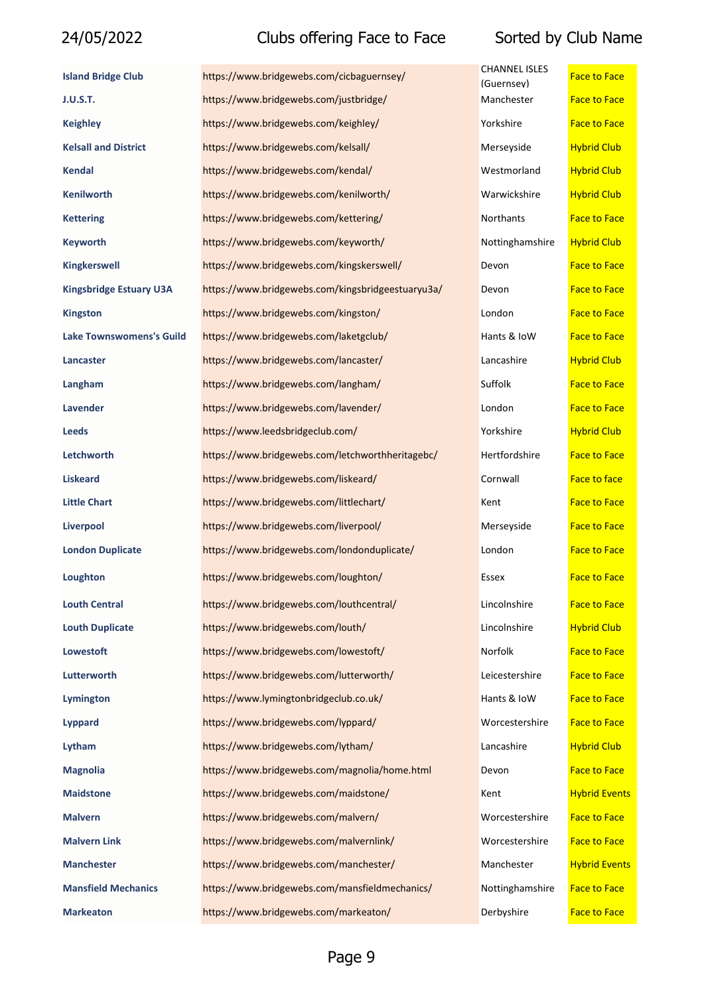| <b>Island Bridge Club</b>       | https://www.bridgewebs.com/cicbaguernsey/         | <b>CHANNEL ISLES</b><br>(Guernsev) | <b>Face to Face</b>  |
|---------------------------------|---------------------------------------------------|------------------------------------|----------------------|
| <b>J.U.S.T.</b>                 | https://www.bridgewebs.com/justbridge/            | Manchester                         | <b>Face to Face</b>  |
| <b>Keighley</b>                 | https://www.bridgewebs.com/keighley/              | Yorkshire                          | <b>Face to Face</b>  |
| <b>Kelsall and District</b>     | https://www.bridgewebs.com/kelsall/               | Merseyside                         | <b>Hybrid Club</b>   |
| <b>Kendal</b>                   | https://www.bridgewebs.com/kendal/                | Westmorland                        | <b>Hybrid Club</b>   |
| <b>Kenilworth</b>               | https://www.bridgewebs.com/kenilworth/            | Warwickshire                       | <b>Hybrid Club</b>   |
| <b>Kettering</b>                | https://www.bridgewebs.com/kettering/             | Northants                          | <b>Face to Face</b>  |
| <b>Keyworth</b>                 | https://www.bridgewebs.com/keyworth/              | Nottinghamshire                    | <b>Hybrid Club</b>   |
| <b>Kingkerswell</b>             | https://www.bridgewebs.com/kingskerswell/         | Devon                              | <b>Face to Face</b>  |
| <b>Kingsbridge Estuary U3A</b>  | https://www.bridgewebs.com/kingsbridgeestuaryu3a/ | Devon                              | <b>Face to Face</b>  |
| <b>Kingston</b>                 | https://www.bridgewebs.com/kingston/              | London                             | <b>Face to Face</b>  |
| <b>Lake Townswomens's Guild</b> | https://www.bridgewebs.com/laketgclub/            | Hants & IoW                        | <b>Face to Face</b>  |
| Lancaster                       | https://www.bridgewebs.com/lancaster/             | Lancashire                         | <b>Hybrid Club</b>   |
| Langham                         | https://www.bridgewebs.com/langham/               | Suffolk                            | <b>Face to Face</b>  |
| Lavender                        | https://www.bridgewebs.com/lavender/              | London                             | <b>Face to Face</b>  |
| <b>Leeds</b>                    | https://www.leedsbridgeclub.com/                  | Yorkshire                          | <b>Hybrid Club</b>   |
| Letchworth                      | https://www.bridgewebs.com/letchworthheritagebc/  | Hertfordshire                      | <b>Face to Face</b>  |
| <b>Liskeard</b>                 | https://www.bridgewebs.com/liskeard/              | Cornwall                           | Face to face         |
| <b>Little Chart</b>             | https://www.bridgewebs.com/littlechart/           | Kent                               | <b>Face to Face</b>  |
| Liverpool                       | https://www.bridgewebs.com/liverpool/             | Merseyside                         | <b>Face to Face</b>  |
| <b>London Duplicate</b>         | https://www.bridgewebs.com/londonduplicate/       | London                             | <b>Face to Face</b>  |
| Loughton                        | https://www.bridgewebs.com/loughton/              | Essex                              | <b>Face to Face</b>  |
| <b>Louth Central</b>            | https://www.bridgewebs.com/louthcentral/          | Lincolnshire                       | <b>Face to Face</b>  |
| <b>Louth Duplicate</b>          | https://www.bridgewebs.com/louth/                 | Lincolnshire                       | <b>Hybrid Club</b>   |
| <b>Lowestoft</b>                | https://www.bridgewebs.com/lowestoft/             | Norfolk                            | <b>Face to Face</b>  |
| Lutterworth                     | https://www.bridgewebs.com/lutterworth/           | Leicestershire                     | <b>Face to Face</b>  |
| Lymington                       | https://www.lymingtonbridgeclub.co.uk/            | Hants & IoW                        | <b>Face to Face</b>  |
| Lyppard                         | https://www.bridgewebs.com/lyppard/               | Worcestershire                     | <b>Face to Face</b>  |
| Lytham                          | https://www.bridgewebs.com/lytham/                | Lancashire                         | <b>Hybrid Club</b>   |
| <b>Magnolia</b>                 | https://www.bridgewebs.com/magnolia/home.html     | Devon                              | <b>Face to Face</b>  |
| <b>Maidstone</b>                | https://www.bridgewebs.com/maidstone/             | Kent                               | <b>Hybrid Events</b> |
| <b>Malvern</b>                  | https://www.bridgewebs.com/malvern/               | Worcestershire                     | <b>Face to Face</b>  |
| <b>Malvern Link</b>             | https://www.bridgewebs.com/malvernlink/           | Worcestershire                     | <b>Face to Face</b>  |
| <b>Manchester</b>               | https://www.bridgewebs.com/manchester/            | Manchester                         | <b>Hybrid Events</b> |
| <b>Mansfield Mechanics</b>      | https://www.bridgewebs.com/mansfieldmechanics/    | Nottinghamshire                    | <b>Face to Face</b>  |
| <b>Markeaton</b>                | https://www.bridgewebs.com/markeaton/             | Derbyshire                         | <b>Face to Face</b>  |

| <b>CHANNEL ISLES</b><br>(Guernsev) | <b>Face to Face</b>  |
|------------------------------------|----------------------|
| Manchester                         | <b>Face to Face</b>  |
| Yorkshire                          | <b>Face to Face</b>  |
| Merseyside                         | <b>Hybrid Club</b>   |
| Westmorland                        | <b>Hybrid Club</b>   |
| Warwickshire                       | <b>Hybrid Club</b>   |
| Northants                          | <b>Face to Face</b>  |
| Nottinghamshire                    | <b>Hybrid Club</b>   |
| Devon                              | <b>Face to Face</b>  |
| Devon                              | Face to Face         |
| London                             | <b>Face to Face</b>  |
| Hants & IoW                        | <b>Face to Face</b>  |
| Lancashire                         | <b>Hybrid Club</b>   |
| Suffolk                            | <b>Face to Face</b>  |
| London                             | <b>Face to Face</b>  |
| Yorkshire                          | <b>Hybrid Club</b>   |
| Hertfordshire                      | <b>Face to Face</b>  |
| Cornwall                           | <b>Face to face</b>  |
| Kent                               | <b>Face to Face</b>  |
| Merseyside                         | <b>Face to Face</b>  |
| London                             | <b>Face to Face</b>  |
| Essex                              | <b>Face to Face</b>  |
| Lincolnshire                       | Face to Face         |
| Lincolnshire                       | <b>Hybrid Club</b>   |
| Norfolk                            | <b>Face to Face</b>  |
| Leicestershire                     | <b>Face to Face</b>  |
| Hants & IoW                        | <b>Face to Face</b>  |
| Worcestershire                     | <b>Face to Face</b>  |
| Lancashire                         | <b>Hybrid Club</b>   |
| Devon                              | <b>Face to Face</b>  |
| Kent                               | <b>Hybrid Events</b> |
| Worcestershire                     | <b>Face to Face</b>  |
| Worcestershire                     | <b>Face to Face</b>  |
| Manchester                         | <b>Hybrid Events</b> |
| Nottinghamshire                    | <b>Face to Face</b>  |
| Dorbychiro                         | Enco to Enco         |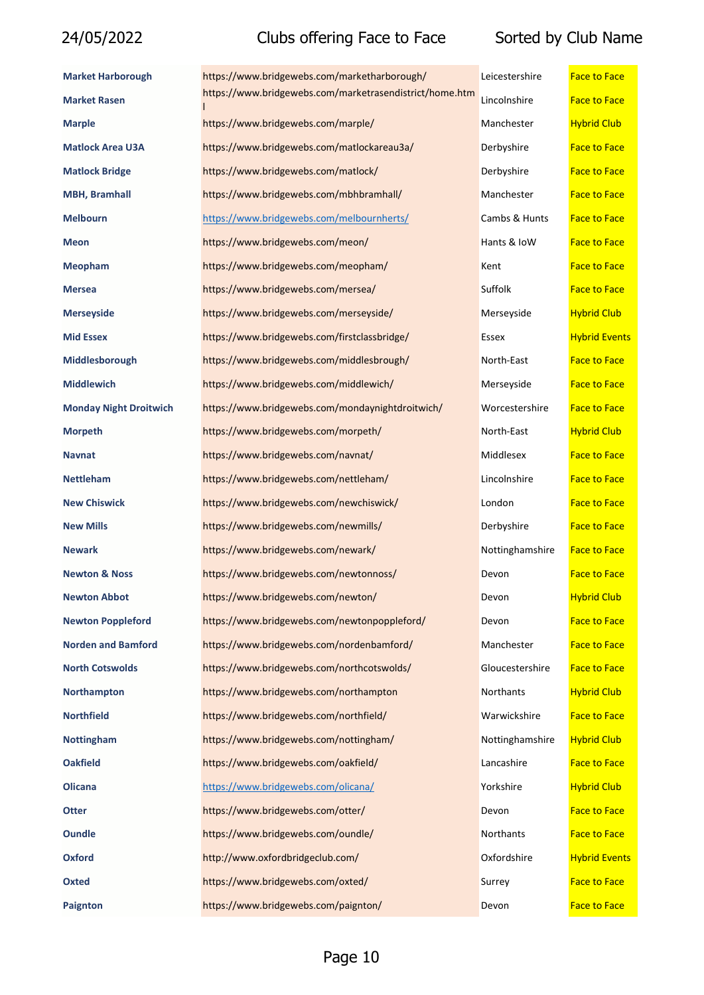| <b>Market Harborough</b>      | https://www.bridgewebs.com/marketharborough/            | Leicestershire  | <b>Face to Face</b>  |
|-------------------------------|---------------------------------------------------------|-----------------|----------------------|
| <b>Market Rasen</b>           | https://www.bridgewebs.com/marketrasendistrict/home.htm | Lincolnshire    | <b>Face to Face</b>  |
| <b>Marple</b>                 | https://www.bridgewebs.com/marple/                      | Manchester      | <b>Hybrid Club</b>   |
| <b>Matlock Area U3A</b>       | https://www.bridgewebs.com/matlockareau3a/              | Derbyshire      | <b>Face to Face</b>  |
| <b>Matlock Bridge</b>         | https://www.bridgewebs.com/matlock/                     | Derbyshire      | <b>Face to Face</b>  |
| <b>MBH, Bramhall</b>          | https://www.bridgewebs.com/mbhbramhall/                 | Manchester      | <b>Face to Face</b>  |
| <b>Melbourn</b>               | https://www.bridgewebs.com/melbournherts/               | Cambs & Hunts   | <b>Face to Face</b>  |
| <b>Meon</b>                   | https://www.bridgewebs.com/meon/                        | Hants & IoW     | <b>Face to Face</b>  |
| <b>Meopham</b>                | https://www.bridgewebs.com/meopham/                     | Kent            | <b>Face to Face</b>  |
| <b>Mersea</b>                 | https://www.bridgewebs.com/mersea/                      | Suffolk         | <b>Face to Face</b>  |
| <b>Merseyside</b>             | https://www.bridgewebs.com/merseyside/                  | Merseyside      | <b>Hybrid Club</b>   |
| <b>Mid Essex</b>              | https://www.bridgewebs.com/firstclassbridge/            | Essex           | <b>Hybrid Events</b> |
| Middlesborough                | https://www.bridgewebs.com/middlesbrough/               | North-East      | <b>Face to Face</b>  |
| <b>Middlewich</b>             | https://www.bridgewebs.com/middlewich/                  | Merseyside      | <b>Face to Face</b>  |
| <b>Monday Night Droitwich</b> | https://www.bridgewebs.com/mondaynightdroitwich/        | Worcestershire  | <b>Face to Face</b>  |
| <b>Morpeth</b>                | https://www.bridgewebs.com/morpeth/                     | North-East      | <b>Hybrid Club</b>   |
| <b>Navnat</b>                 | https://www.bridgewebs.com/navnat/                      | Middlesex       | <b>Face to Face</b>  |
| <b>Nettleham</b>              | https://www.bridgewebs.com/nettleham/                   | Lincolnshire    | <b>Face to Face</b>  |
| <b>New Chiswick</b>           | https://www.bridgewebs.com/newchiswick/                 | London          | <b>Face to Face</b>  |
| <b>New Mills</b>              | https://www.bridgewebs.com/newmills/                    | Derbyshire      | <b>Face to Face</b>  |
| <b>Newark</b>                 | https://www.bridgewebs.com/newark/                      | Nottinghamshire | <b>Face to Face</b>  |
| <b>Newton &amp; Noss</b>      | https://www.bridgewebs.com/newtonnoss/                  | Devon           | <b>Face to Face</b>  |
| <b>Newton Abbot</b>           | https://www.bridgewebs.com/newton/                      | Devon           | <b>Hybrid Club</b>   |
| <b>Newton Poppleford</b>      | https://www.bridgewebs.com/newtonpoppleford/            | Devon           | <b>Face to Face</b>  |
| <b>Norden and Bamford</b>     | https://www.bridgewebs.com/nordenbamford/               | Manchester      | <b>Face to Face</b>  |
| <b>North Cotswolds</b>        | https://www.bridgewebs.com/northcotswolds/              | Gloucestershire | <b>Face to Face</b>  |
| <b>Northampton</b>            | https://www.bridgewebs.com/northampton                  | Northants       | <b>Hybrid Club</b>   |
| <b>Northfield</b>             | https://www.bridgewebs.com/northfield/                  | Warwickshire    | <b>Face to Face</b>  |
| <b>Nottingham</b>             | https://www.bridgewebs.com/nottingham/                  | Nottinghamshire | <b>Hybrid Club</b>   |
| <b>Oakfield</b>               | https://www.bridgewebs.com/oakfield/                    | Lancashire      | <b>Face to Face</b>  |
| <b>Olicana</b>                | https://www.bridgewebs.com/olicana/                     | Yorkshire       | <b>Hybrid Club</b>   |
| <b>Otter</b>                  | https://www.bridgewebs.com/otter/                       | Devon           | <b>Face to Face</b>  |
| <b>Oundle</b>                 | https://www.bridgewebs.com/oundle/                      | Northants       | <b>Face to Face</b>  |
| <b>Oxford</b>                 | http://www.oxfordbridgeclub.com/                        | Oxfordshire     | <b>Hybrid Events</b> |
| <b>Oxted</b>                  | https://www.bridgewebs.com/oxted/                       | Surrey          | <b>Face to Face</b>  |
| Paignton                      | https://www.bridgewebs.com/paignton/                    | Devon           | <b>Face to Face</b>  |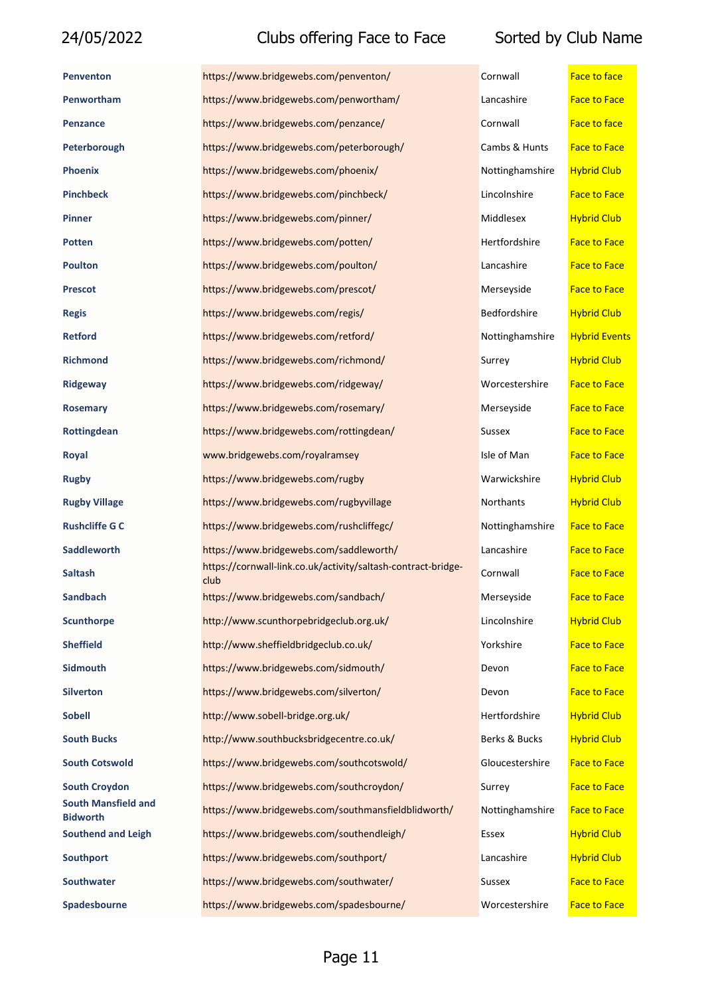# 24/05/2022 Clubs offering Face to Face

| <b>Penventon</b>                              | https://www.bridgewebs.com/penventon/                                 | Cornwall        | <b>Face to face</b>  |
|-----------------------------------------------|-----------------------------------------------------------------------|-----------------|----------------------|
| Penwortham                                    | https://www.bridgewebs.com/penwortham/                                | Lancashire      | <b>Face to Face</b>  |
| Penzance                                      | https://www.bridgewebs.com/penzance/                                  | Cornwall        | <b>Face to face</b>  |
| Peterborough                                  | https://www.bridgewebs.com/peterborough/                              | Cambs & Hunts   | <b>Face to Face</b>  |
| <b>Phoenix</b>                                | https://www.bridgewebs.com/phoenix/                                   | Nottinghamshire | <b>Hybrid Club</b>   |
| <b>Pinchbeck</b>                              | https://www.bridgewebs.com/pinchbeck/                                 | Lincolnshire    | <b>Face to Face</b>  |
| <b>Pinner</b>                                 | https://www.bridgewebs.com/pinner/                                    | Middlesex       | <b>Hybrid Club</b>   |
| Potten                                        | https://www.bridgewebs.com/potten/                                    | Hertfordshire   | <b>Face to Face</b>  |
| <b>Poulton</b>                                | https://www.bridgewebs.com/poulton/                                   | Lancashire      | <b>Face to Face</b>  |
| <b>Prescot</b>                                | https://www.bridgewebs.com/prescot/                                   | Merseyside      | <b>Face to Face</b>  |
| <b>Regis</b>                                  | https://www.bridgewebs.com/regis/                                     | Bedfordshire    | <b>Hybrid Club</b>   |
| <b>Retford</b>                                | https://www.bridgewebs.com/retford/                                   | Nottinghamshire | <b>Hybrid Events</b> |
| <b>Richmond</b>                               | https://www.bridgewebs.com/richmond/                                  | Surrey          | <b>Hybrid Club</b>   |
| <b>Ridgeway</b>                               | https://www.bridgewebs.com/ridgeway/                                  | Worcestershire  | <b>Face to Face</b>  |
| <b>Rosemary</b>                               | https://www.bridgewebs.com/rosemary/                                  | Merseyside      | <b>Face to Face</b>  |
| Rottingdean                                   | https://www.bridgewebs.com/rottingdean/                               | Sussex          | <b>Face to Face</b>  |
| Royal                                         | www.bridgewebs.com/royalramsey                                        | Isle of Man     | <b>Face to Face</b>  |
| <b>Rugby</b>                                  | https://www.bridgewebs.com/rugby                                      | Warwickshire    | <b>Hybrid Club</b>   |
| <b>Rugby Village</b>                          | https://www.bridgewebs.com/rugbyvillage                               | Northants       | <b>Hybrid Club</b>   |
| <b>Rushcliffe G C</b>                         | https://www.bridgewebs.com/rushcliffegc/                              | Nottinghamshire | <b>Face to Face</b>  |
| <b>Saddleworth</b>                            | https://www.bridgewebs.com/saddleworth/                               | Lancashire      | <b>Face to Face</b>  |
| <b>Saltash</b>                                | https://cornwall-link.co.uk/activity/saltash-contract-bridge-<br>club | Cornwall        | <b>Face to Face</b>  |
| <b>Sandbach</b>                               | https://www.bridgewebs.com/sandbach/                                  | Merseyside      | <b>Face to Face</b>  |
| <b>Scunthorpe</b>                             | http://www.scunthorpebridgeclub.org.uk/                               | Lincolnshire    | <b>Hybrid Club</b>   |
| <b>Sheffield</b>                              | http://www.sheffieldbridgeclub.co.uk/                                 | Yorkshire       | <b>Face to Face</b>  |
| <b>Sidmouth</b>                               | https://www.bridgewebs.com/sidmouth/                                  | Devon           | <b>Face to Face</b>  |
| <b>Silverton</b>                              | https://www.bridgewebs.com/silverton/                                 | Devon           | <b>Face to Face</b>  |
| <b>Sobell</b>                                 | http://www.sobell-bridge.org.uk/                                      | Hertfordshire   | <b>Hybrid Club</b>   |
| <b>South Bucks</b>                            | http://www.southbucksbridgecentre.co.uk/                              | Berks & Bucks   | <b>Hybrid Club</b>   |
| <b>South Cotswold</b>                         | https://www.bridgewebs.com/southcotswold/                             | Gloucestershire | <b>Face to Face</b>  |
| <b>South Croydon</b>                          | https://www.bridgewebs.com/southcroydon/                              | Surrey          | <b>Face to Face</b>  |
| <b>South Mansfield and</b><br><b>Bidworth</b> | https://www.bridgewebs.com/southmansfieldblidworth/                   | Nottinghamshire | <b>Face to Face</b>  |
| <b>Southend and Leigh</b>                     | https://www.bridgewebs.com/southendleigh/                             | Essex           | <b>Hybrid Club</b>   |
| <b>Southport</b>                              | https://www.bridgewebs.com/southport/                                 | Lancashire      | <b>Hybrid Club</b>   |
| <b>Southwater</b>                             | https://www.bridgewebs.com/southwater/                                | Sussex          | <b>Face to Face</b>  |
| Spadesbourne                                  | https://www.bridgewebs.com/spadesbourne/                              | Worcestershire  | <b>Face to Face</b>  |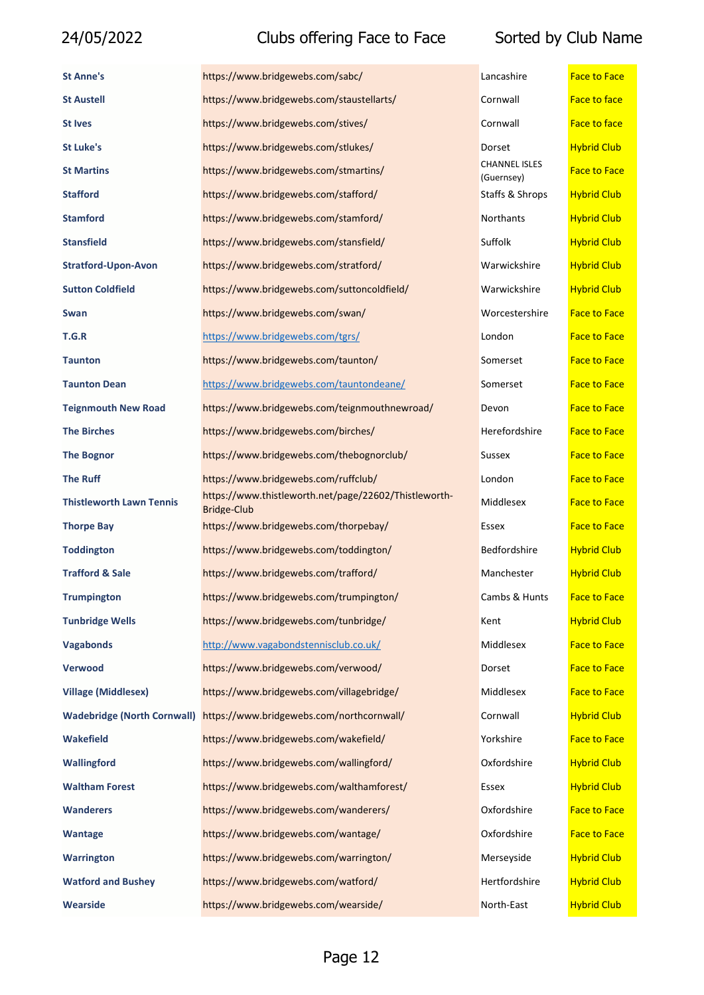| <b>St Anne's</b>                   | https://www.bridgewebs.com/sabc/                                            | Lancashire                         | <b>Face to Face</b> |
|------------------------------------|-----------------------------------------------------------------------------|------------------------------------|---------------------|
| <b>St Austell</b>                  | https://www.bridgewebs.com/staustellarts/                                   | Cornwall                           | <b>Face to face</b> |
| <b>St Ives</b>                     | https://www.bridgewebs.com/stives/                                          | Cornwall                           | <b>Face to face</b> |
| St Luke's                          | https://www.bridgewebs.com/stlukes/                                         | Dorset                             | <b>Hybrid Club</b>  |
| <b>St Martins</b>                  | https://www.bridgewebs.com/stmartins/                                       | <b>CHANNEL ISLES</b><br>(Guernsey) | <b>Face to Face</b> |
| <b>Stafford</b>                    | https://www.bridgewebs.com/stafford/                                        | Staffs & Shrops                    | <b>Hybrid Club</b>  |
| <b>Stamford</b>                    | https://www.bridgewebs.com/stamford/                                        | Northants                          | <b>Hybrid Club</b>  |
| <b>Stansfield</b>                  | https://www.bridgewebs.com/stansfield/                                      | Suffolk                            | <b>Hybrid Club</b>  |
| <b>Stratford-Upon-Avon</b>         | https://www.bridgewebs.com/stratford/                                       | Warwickshire                       | <b>Hybrid Club</b>  |
| <b>Sutton Coldfield</b>            | https://www.bridgewebs.com/suttoncoldfield/                                 | Warwickshire                       | <b>Hybrid Club</b>  |
| Swan                               | https://www.bridgewebs.com/swan/                                            | Worcestershire                     | <b>Face to Face</b> |
| T.G.R                              | https://www.bridgewebs.com/tgrs/                                            | London                             | <b>Face to Face</b> |
| <b>Taunton</b>                     | https://www.bridgewebs.com/taunton/                                         | Somerset                           | <b>Face to Face</b> |
| <b>Taunton Dean</b>                | https://www.bridgewebs.com/tauntondeane/                                    | Somerset                           | <b>Face to Face</b> |
| <b>Teignmouth New Road</b>         | https://www.bridgewebs.com/teignmouthnewroad/                               | Devon                              | <b>Face to Face</b> |
| <b>The Birches</b>                 | https://www.bridgewebs.com/birches/                                         | Herefordshire                      | <b>Face to Face</b> |
| <b>The Bognor</b>                  | https://www.bridgewebs.com/thebognorclub/                                   | Sussex                             | <b>Face to Face</b> |
| <b>The Ruff</b>                    | https://www.bridgewebs.com/ruffclub/                                        | London                             | <b>Face to Face</b> |
| <b>Thistleworth Lawn Tennis</b>    | https://www.thistleworth.net/page/22602/Thistleworth-<br><b>Bridge-Club</b> | Middlesex                          | <b>Face to Face</b> |
| <b>Thorpe Bay</b>                  | https://www.bridgewebs.com/thorpebay/                                       | Essex                              | <b>Face to Face</b> |
| <b>Toddington</b>                  | https://www.bridgewebs.com/toddington/                                      | Bedfordshire                       | <b>Hybrid Club</b>  |
| <b>Trafford &amp; Sale</b>         | https://www.bridgewebs.com/trafford/                                        | Manchester                         | <b>Hybrid Club</b>  |
| <b>Trumpington</b>                 | https://www.bridgewebs.com/trumpington/                                     | Cambs & Hunts                      | <b>Face to Face</b> |
| <b>Tunbridge Wells</b>             | https://www.bridgewebs.com/tunbridge/                                       | Kent                               | <b>Hybrid Club</b>  |
| <b>Vagabonds</b>                   | http://www.vagabondstennisclub.co.uk/                                       | Middlesex                          | <b>Face to Face</b> |
| <b>Verwood</b>                     | https://www.bridgewebs.com/verwood/                                         | Dorset                             | <b>Face to Face</b> |
| <b>Village (Middlesex)</b>         | https://www.bridgewebs.com/villagebridge/                                   | Middlesex                          | <b>Face to Face</b> |
| <b>Wadebridge (North Cornwall)</b> | https://www.bridgewebs.com/northcornwall/                                   | Cornwall                           | <b>Hybrid Club</b>  |
| <b>Wakefield</b>                   | https://www.bridgewebs.com/wakefield/                                       | Yorkshire                          | <b>Face to Face</b> |
| <b>Wallingford</b>                 | https://www.bridgewebs.com/wallingford/                                     | Oxfordshire                        | <b>Hybrid Club</b>  |
| <b>Waltham Forest</b>              | https://www.bridgewebs.com/walthamforest/                                   | Essex                              | <b>Hybrid Club</b>  |
| <b>Wanderers</b>                   | https://www.bridgewebs.com/wanderers/                                       | Oxfordshire                        | <b>Face to Face</b> |
| Wantage                            | https://www.bridgewebs.com/wantage/                                         | Oxfordshire                        | <b>Face to Face</b> |
| <b>Warrington</b>                  | https://www.bridgewebs.com/warrington/                                      | Merseyside                         | <b>Hybrid Club</b>  |
| <b>Watford and Bushey</b>          | https://www.bridgewebs.com/watford/                                         | Hertfordshire                      | <b>Hybrid Club</b>  |
| <b>Wearside</b>                    | https://www.bridgewebs.com/wearside/                                        | North-East                         | <b>Hybrid Club</b>  |

| Lancashire                         | <u>Face to Face</u> |
|------------------------------------|---------------------|
| Cornwall                           | <b>Face to face</b> |
| Cornwall                           | <b>Face to face</b> |
| Dorset                             | <b>Hybrid Club</b>  |
| <b>CHANNEL ISLES</b><br>(Guernsey) | <b>Face to Face</b> |
| Staffs & Shrops                    | <b>Hybrid Club</b>  |
| <b>Northants</b>                   | <b>Hybrid Club</b>  |
| Suffolk                            | <b>Hybrid Club</b>  |
| Warwickshire                       | <b>Hybrid Club</b>  |
| Warwickshire                       | <b>Hybrid Club</b>  |
| Worcestershire                     | <b>Face to Face</b> |
| London                             | <b>Face to Face</b> |
| Somerset                           | <b>Face to Face</b> |
| Somerset                           | <b>Face to Face</b> |
| Devon                              | <b>Face to Face</b> |
| Herefordshire                      | <b>Face to Face</b> |
| Sussex                             | <b>Face to Face</b> |
| London                             | <b>Face to Face</b> |
| Middlesex                          | <b>Face to Face</b> |
| Essex                              | <b>Face to Face</b> |
| <b>Bedfordshire</b>                | <b>Hybrid Club</b>  |
| Manchester                         | <b>Hybrid Club</b>  |
| Cambs & Hunts                      | <b>Face to Face</b> |
| Kent                               | <b>Hybrid Club</b>  |
| Middlesex                          | <b>Face to Face</b> |
| Dorset                             | <b>Face to Face</b> |
| Middlesex                          | <b>Face to Face</b> |